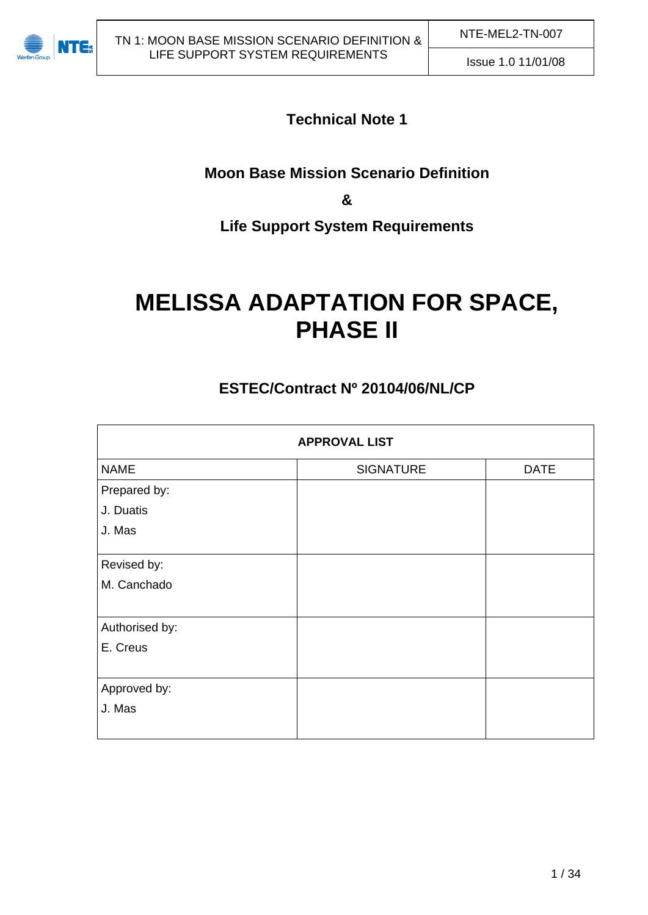

# **Technical Note 1**

# **Moon Base Mission Scenario Definition**

**&** 

# **Life Support System Requirements**

# **MELISSA ADAPTATION FOR SPACE, PHASE II**

# **ESTEC/Contract Nº 20104/06/NL/CP**

| <b>APPROVAL LIST</b> |                  |             |  |  |
|----------------------|------------------|-------------|--|--|
| <b>NAME</b>          | <b>SIGNATURE</b> | <b>DATE</b> |  |  |
| Prepared by:         |                  |             |  |  |
| J. Duatis            |                  |             |  |  |
| J. Mas               |                  |             |  |  |
| Revised by:          |                  |             |  |  |
| M. Canchado          |                  |             |  |  |
| Authorised by:       |                  |             |  |  |
| E. Creus             |                  |             |  |  |
| Approved by:         |                  |             |  |  |
| J. Mas               |                  |             |  |  |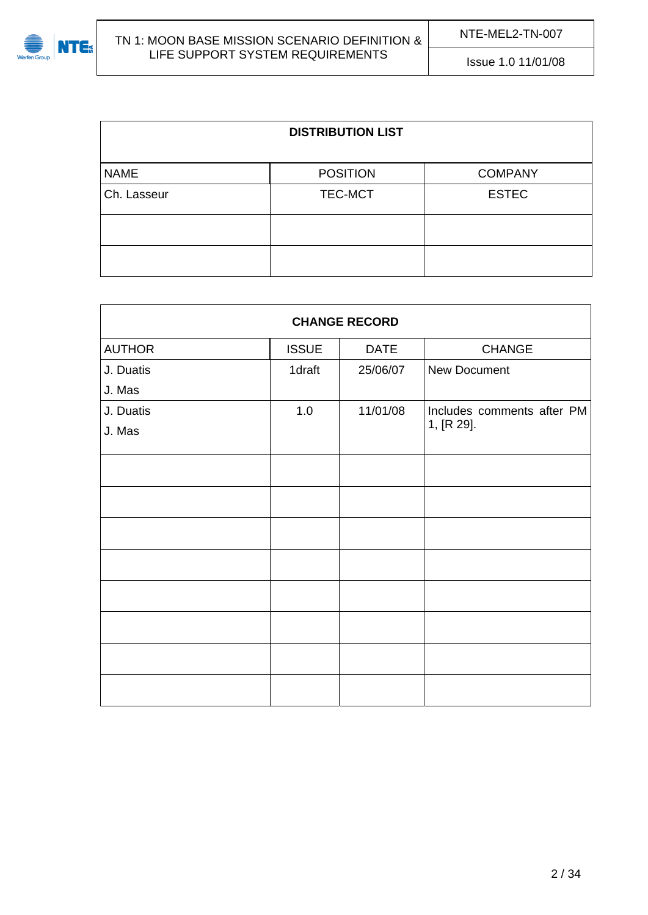

| <b>DISTRIBUTION LIST</b> |                 |                |  |  |
|--------------------------|-----------------|----------------|--|--|
| <b>NAME</b>              | <b>POSITION</b> | <b>COMPANY</b> |  |  |
| Ch. Lasseur              | TEC-MCT         | <b>ESTEC</b>   |  |  |
|                          |                 |                |  |  |
|                          |                 |                |  |  |

| <b>CHANGE RECORD</b> |              |             |                            |  |  |  |
|----------------------|--------------|-------------|----------------------------|--|--|--|
| <b>AUTHOR</b>        | <b>ISSUE</b> | <b>DATE</b> | <b>CHANGE</b>              |  |  |  |
| J. Duatis            | 1draft       | 25/06/07    | New Document               |  |  |  |
| J. Mas               |              |             |                            |  |  |  |
| J. Duatis            | 1.0          | 11/01/08    | Includes comments after PM |  |  |  |
| J. Mas               |              |             | 1, [R 29].                 |  |  |  |
|                      |              |             |                            |  |  |  |
|                      |              |             |                            |  |  |  |
|                      |              |             |                            |  |  |  |
|                      |              |             |                            |  |  |  |
|                      |              |             |                            |  |  |  |
|                      |              |             |                            |  |  |  |
|                      |              |             |                            |  |  |  |
|                      |              |             |                            |  |  |  |
|                      |              |             |                            |  |  |  |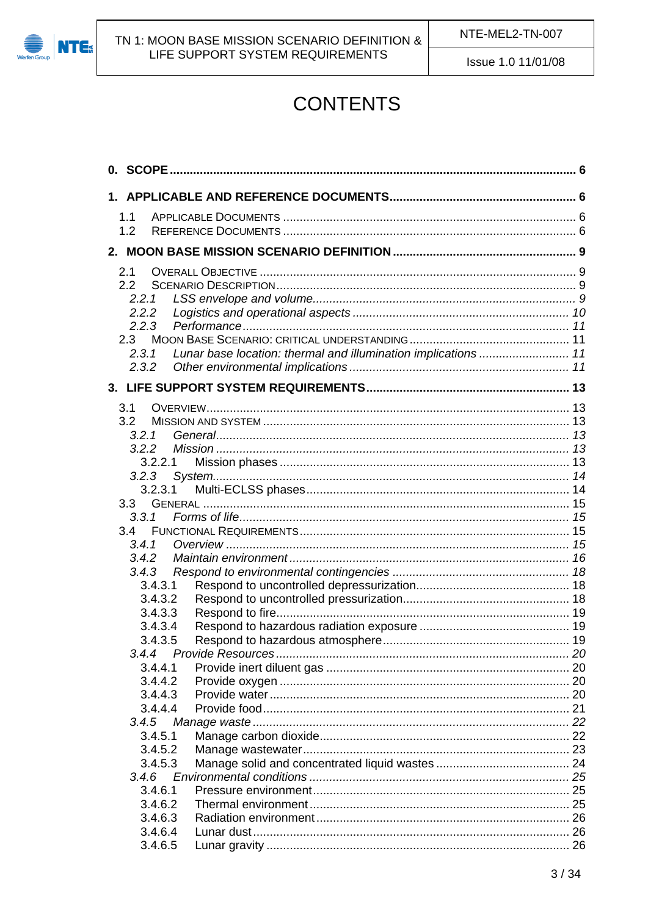

# **CONTENTS**

| 1.1          |                                                                |  |
|--------------|----------------------------------------------------------------|--|
| 1.2          |                                                                |  |
|              |                                                                |  |
|              |                                                                |  |
| 2.1          |                                                                |  |
| 2.2          |                                                                |  |
| 2.2.1        |                                                                |  |
| 2.2.2        |                                                                |  |
| 2.2.3        |                                                                |  |
| 2.3          |                                                                |  |
| 2.3.1        | Lunar base location: thermal and illumination implications  11 |  |
| 2.3.2        |                                                                |  |
|              |                                                                |  |
|              |                                                                |  |
| 3.1          |                                                                |  |
| 3.2          |                                                                |  |
| 3.2.1        |                                                                |  |
| 3.2.2        |                                                                |  |
| 3.2.2.1      |                                                                |  |
| 3.2.3        |                                                                |  |
| 3.2.3.1      |                                                                |  |
| 3.3          |                                                                |  |
| 3.3.1<br>3.4 |                                                                |  |
| 3.4.1        |                                                                |  |
| 3.4.2        |                                                                |  |
| 3.4.3        |                                                                |  |
| 3.4.3.1      |                                                                |  |
| 3.4.3.2      |                                                                |  |
| 3.4.3.3      |                                                                |  |
| 3.4.3.4      |                                                                |  |
| 3.4.3.5      |                                                                |  |
| 3.4.4        |                                                                |  |
| 3.4.4.1      |                                                                |  |
| 3.4.4.2      |                                                                |  |
| 3.4.4.3      |                                                                |  |
| 3.4.4.4      |                                                                |  |
|              |                                                                |  |
| 3.4.5.1      |                                                                |  |
| 3.4.5.2      |                                                                |  |
| 3.4.5.3      |                                                                |  |
| 3.4.6        |                                                                |  |
| 3.4.6.1      |                                                                |  |
| 3.4.6.2      |                                                                |  |
| 3.4.6.3      |                                                                |  |
| 3.4.6.4      |                                                                |  |
| 3.4.6.5      |                                                                |  |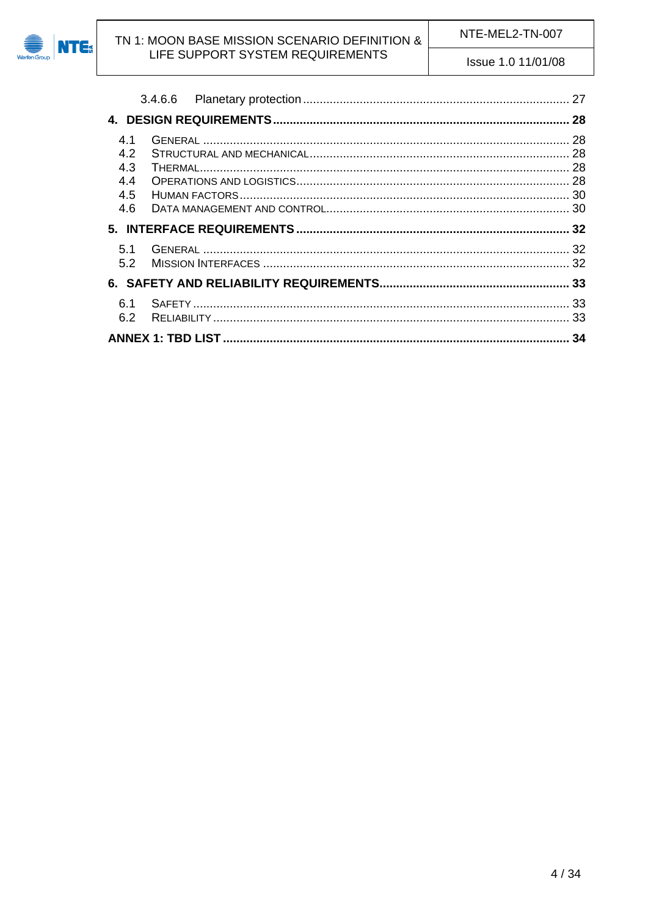

| 4.1<br>4.2<br>4.3<br>4.4<br>4.5<br>4.6 |  |
|----------------------------------------|--|
|                                        |  |
| 5.1<br>5.2                             |  |
|                                        |  |
|                                        |  |
| 6.1<br>6.2                             |  |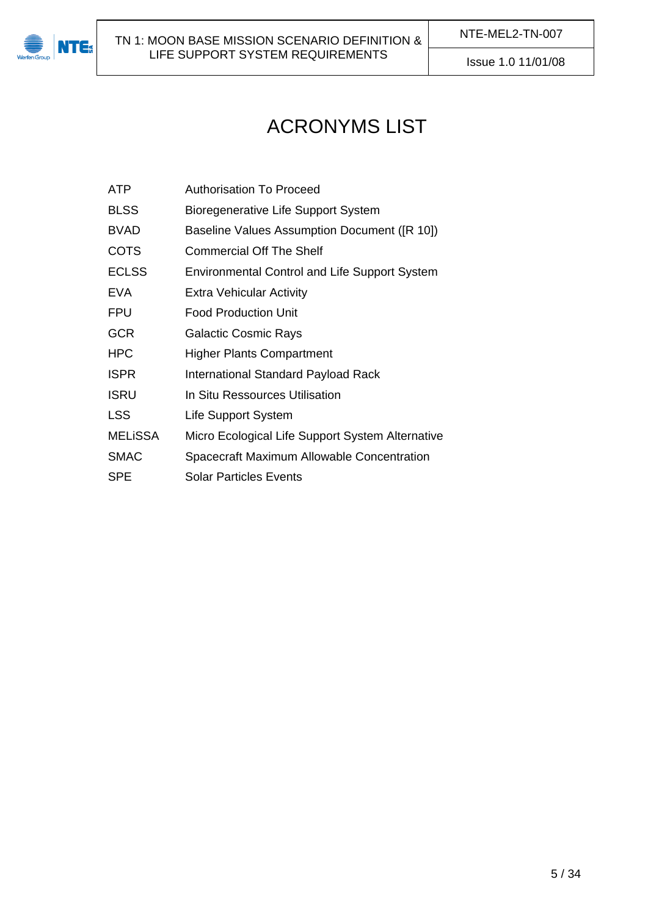

# ACRONYMS LIST

| ATP | Authorisation To Proceed |  |
|-----|--------------------------|--|
|     |                          |  |

- BLSS Bioregenerative Life Support System
- BVAD Baseline Values Assumption Document ([\[R 10\]](#page-6-0))
- COTS Commercial Off The Shelf
- ECLSS Environmental Control and Life Support System
- EVA Extra Vehicular Activity
- FPU Food Production Unit
- GCR Galactic Cosmic Rays
- HPC Higher Plants Compartment
- **ISPR** International Standard Payload Rack
- **ISRU In Situ Ressources Utilisation**
- LSS Life Support System
- MELiSSA Micro Ecological Life Support System Alternative
- SMAC Spacecraft Maximum Allowable Concentration
- SPE Solar Particles Events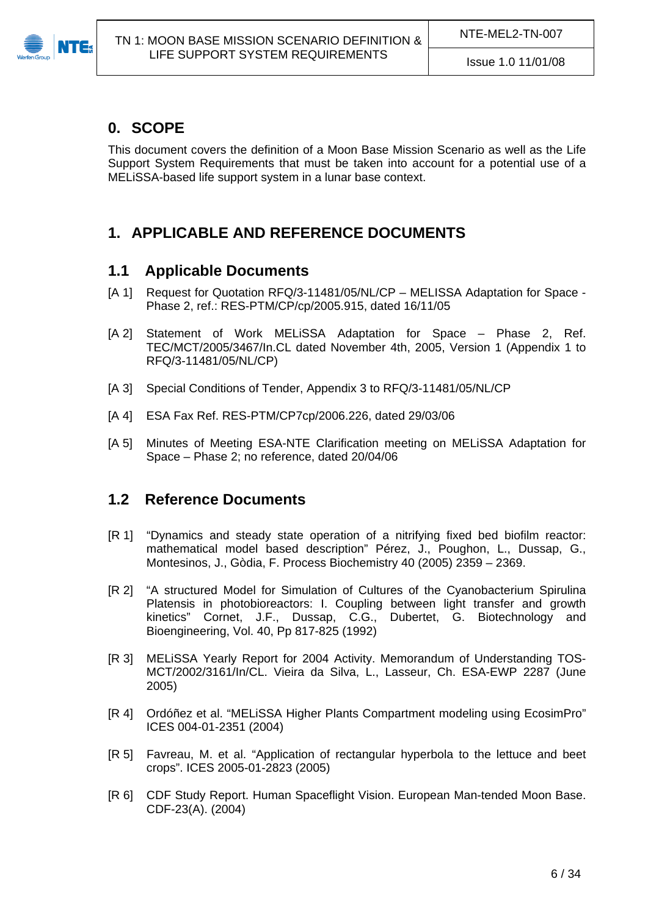<span id="page-5-0"></span>

# **0. SCOPE**

This document covers the definition of a Moon Base Mission Scenario as well as the Life Support System Requirements that must be taken into account for a potential use of a MELiSSA-based life support system in a lunar base context.

# <span id="page-5-1"></span>**1. APPLICABLE AND REFERENCE DOCUMENTS**

### <span id="page-5-2"></span>**1.1 Applicable Documents**

- [A 1] Request for Quotation RFQ/3-11481/05/NL/CP MELISSA Adaptation for Space -Phase 2, ref.: RES-PTM/CP/cp/2005.915, dated 16/11/05
- [A 2] Statement of Work MELISSA Adaptation for Space Phase 2, Ref. TEC/MCT/2005/3467/In.CL dated November 4th, 2005, Version 1 (Appendix 1 to RFQ/3-11481/05/NL/CP)
- [A 3] Special Conditions of Tender, Appendix 3 to RFQ/3-11481/05/NL/CP
- <span id="page-5-4"></span>[A 4] ESA Fax Ref. RES-PTM/CP7cp/2006.226, dated 29/03/06
- [A 5] Minutes of Meeting ESA-NTE Clarification meeting on MELiSSA Adaptation for Space – Phase 2; no reference, dated 20/04/06

### <span id="page-5-3"></span>**1.2 Reference Documents**

- [R 1] "Dynamics and steady state operation of a nitrifying fixed bed biofilm reactor: mathematical model based description" Pérez, J., Poughon, L., Dussap, G., Montesinos, J., Gòdia, F. Process Biochemistry 40 (2005) 2359 – 2369.
- [R 2] "A structured Model for Simulation of Cultures of the Cyanobacterium Spirulina Platensis in photobioreactors: I. Coupling between light transfer and growth kinetics" Cornet, J.F., Dussap, C.G., Dubertet, G. Biotechnology and Bioengineering, Vol. 40, Pp 817-825 (1992)
- [R 3] MELiSSA Yearly Report for 2004 Activity. Memorandum of Understanding TOS-MCT/2002/3161/In/CL. Vieira da Silva, L., Lasseur, Ch. ESA-EWP 2287 (June 2005)
- [R 4] Ordóñez et al. "MELiSSA Higher Plants Compartment modeling using EcosimPro" ICES 004-01-2351 (2004)
- [R 5] Favreau, M. et al. "Application of rectangular hyperbola to the lettuce and beet crops". ICES 2005-01-2823 (2005)
- [R 6] CDF Study Report. Human Spaceflight Vision. European Man-tended Moon Base. CDF-23(A). (2004)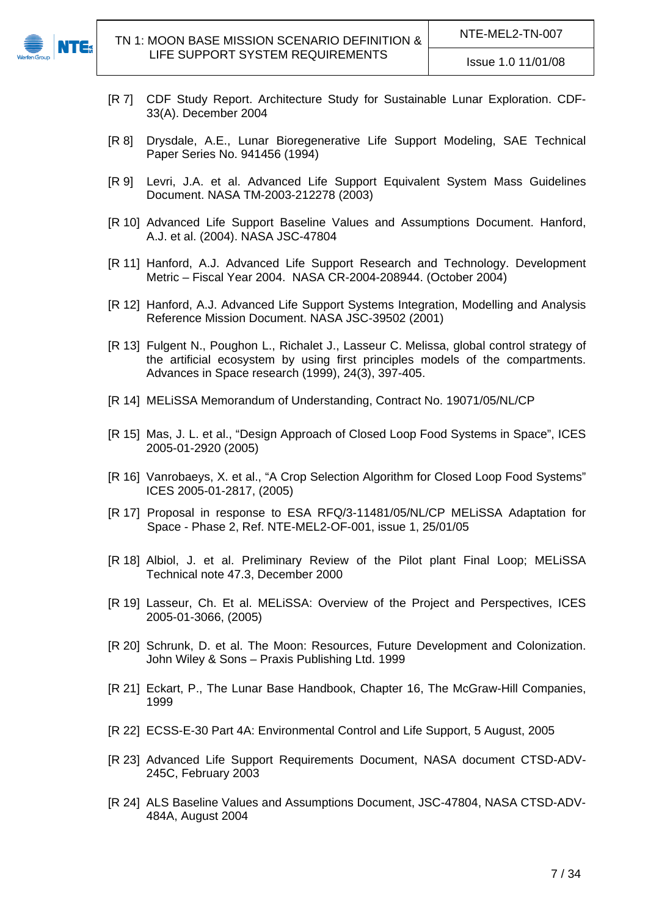

- [R 7] CDF Study Report. Architecture Study for Sustainable Lunar Exploration. CDF-33(A). December 2004
- [R 8] Drysdale, A.E., Lunar Bioregenerative Life Support Modeling, SAE Technical Paper Series No. 941456 (1994)
- [R 9] Levri, J.A. et al. Advanced Life Support Equivalent System Mass Guidelines Document. NASA TM-2003-212278 (2003)
- <span id="page-6-0"></span>[R 10] Advanced Life Support Baseline Values and Assumptions Document. Hanford, A.J. et al. (2004). NASA JSC-47804
- [R 11] Hanford, A.J. Advanced Life Support Research and Technology. Development Metric – Fiscal Year 2004. NASA CR-2004-208944. (October 2004)
- [R 12] Hanford, A.J. Advanced Life Support Systems Integration, Modelling and Analysis Reference Mission Document. NASA JSC-39502 (2001)
- [R 13] Fulgent N., Poughon L., Richalet J., Lasseur C. Melissa, global control strategy of the artificial ecosystem by using first principles models of the compartments. Advances in Space research (1999), 24(3), 397-405.
- [R 14] MELiSSA Memorandum of Understanding, Contract No. 19071/05/NL/CP
- [R 15] Mas, J. L. et al., "Design Approach of Closed Loop Food Systems in Space", ICES 2005-01-2920 (2005)
- [R 16] Vanrobaeys, X. et al., "A Crop Selection Algorithm for Closed Loop Food Systems" ICES 2005-01-2817, (2005)
- [R 17] Proposal in response to ESA RFQ/3-11481/05/NL/CP MELiSSA Adaptation for Space - Phase 2, Ref. NTE-MEL2-OF-001, issue 1, 25/01/05
- [R 18] Albiol, J. et al. Preliminary Review of the Pilot plant Final Loop; MELiSSA Technical note 47.3, December 2000
- [R 19] Lasseur, Ch. Et al. MELiSSA: Overview of the Project and Perspectives, ICES 2005-01-3066, (2005)
- [R 20] Schrunk, D. et al. The Moon: Resources, Future Development and Colonization. John Wiley & Sons – Praxis Publishing Ltd. 1999
- <span id="page-6-4"></span>[R 21] Eckart, P., The Lunar Base Handbook, Chapter 16, The McGraw-Hill Companies, 1999
- <span id="page-6-1"></span>[R 22] ECSS-E-30 Part 4A: Environmental Control and Life Support, 5 August, 2005
- <span id="page-6-2"></span>[R 23] Advanced Life Support Requirements Document, NASA document CTSD-ADV-245C, February 2003
- <span id="page-6-3"></span>[R 24] ALS Baseline Values and Assumptions Document, JSC-47804, NASA CTSD-ADV-484A, August 2004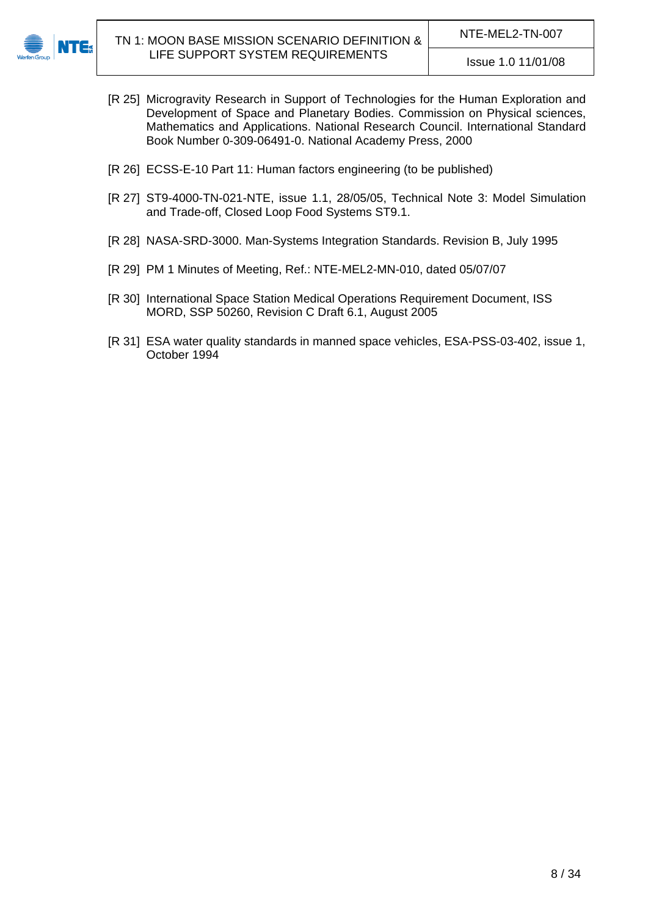<span id="page-7-4"></span>

- [R 25] Microgravity Research in Support of Technologies for the Human Exploration and Development of Space and Planetary Bodies. Commission on Physical sciences, Mathematics and Applications. National Research Council. International Standard Book Number 0-309-06491-0. National Academy Press, 2000
- [R 26] ECSS-E-10 Part 11: Human factors engineering (to be published)
- <span id="page-7-3"></span>[R 27] ST9-4000-TN-021-NTE, issue 1.1, 28/05/05, Technical Note 3: Model Simulation and Trade-off, Closed Loop Food Systems ST9.1.
- <span id="page-7-1"></span>[R 28] NASA-SRD-3000. Man-Systems Integration Standards. Revision B, July 1995
- <span id="page-7-0"></span>[R 29] PM 1 Minutes of Meeting, Ref.: NTE-MEL2-MN-010, dated 05/07/07
- <span id="page-7-2"></span>[R 30] International Space Station Medical Operations Requirement Document, ISS MORD, SSP 50260, Revision C Draft 6.1, August 2005
- [R 31] ESA water quality standards in manned space vehicles, ESA-PSS-03-402, issue 1, October 1994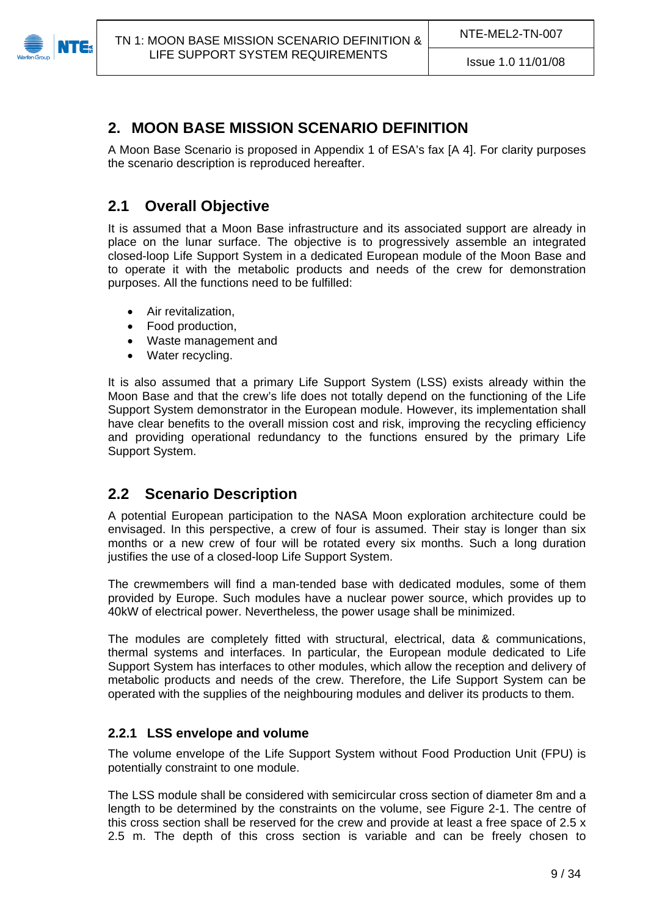<span id="page-8-0"></span>

# **2. MOON BASE MISSION SCENARIO DEFINITION**

A Moon Base Scenario is proposed in Appendix 1 of ESA's fax [\[A 4\]](#page-5-4). For clarity purposes the scenario description is reproduced hereafter.

# <span id="page-8-1"></span>**2.1 Overall Objective**

It is assumed that a Moon Base infrastructure and its associated support are already in place on the lunar surface. The objective is to progressively assemble an integrated closed-loop Life Support System in a dedicated European module of the Moon Base and to operate it with the metabolic products and needs of the crew for demonstration purposes. All the functions need to be fulfilled:

- Air revitalization,
- Food production,
- Waste management and
- Water recycling.

It is also assumed that a primary Life Support System (LSS) exists already within the Moon Base and that the crew's life does not totally depend on the functioning of the Life Support System demonstrator in the European module. However, its implementation shall have clear benefits to the overall mission cost and risk, improving the recycling efficiency and providing operational redundancy to the functions ensured by the primary Life Support System.

# <span id="page-8-2"></span>**2.2 Scenario Description**

A potential European participation to the NASA Moon exploration architecture could be envisaged. In this perspective, a crew of four is assumed. Their stay is longer than six months or a new crew of four will be rotated every six months. Such a long duration justifies the use of a closed-loop Life Support System.

The crewmembers will find a man-tended base with dedicated modules, some of them provided by Europe. Such modules have a nuclear power source, which provides up to 40kW of electrical power. Nevertheless, the power usage shall be minimized.

The modules are completely fitted with structural, electrical, data & communications, thermal systems and interfaces. In particular, the European module dedicated to Life Support System has interfaces to other modules, which allow the reception and delivery of metabolic products and needs of the crew. Therefore, the Life Support System can be operated with the supplies of the neighbouring modules and deliver its products to them.

### <span id="page-8-3"></span>**2.2.1 LSS envelope and volume**

The volume envelope of the Life Support System without Food Production Unit (FPU) is potentially constraint to one module.

The LSS module shall be considered with semicircular cross section of diameter 8m and a length to be determined by the constraints on the volume, see [Figure 2-1.](#page-9-1) The centre of this cross section shall be reserved for the crew and provide at least a free space of 2.5 x 2.5 m. The depth of this cross section is variable and can be freely chosen to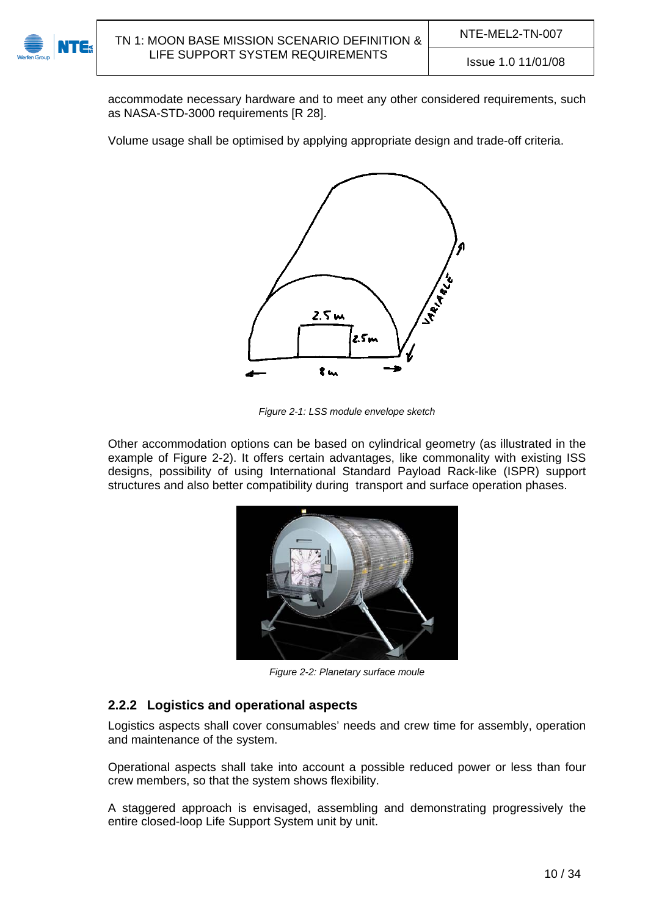

accommodate necessary hardware and to meet any other considered requirements, such as NASA-STD-3000 requirements [\[R 28](#page-7-1)].

Volume usage shall be optimised by applying appropriate design and trade-off criteria.



*Figure 2-1: LSS module envelope sketch* 

<span id="page-9-1"></span>Other accommodation options can be based on cylindrical geometry (as illustrated in the example of [Figure 2-2\)](#page-9-2). It offers certain advantages, like commonality with existing ISS designs, possibility of using International Standard Payload Rack-like (ISPR) support structures and also better compatibility during transport and surface operation phases.



*Figure 2-2: Planetary surface moule* 

### <span id="page-9-2"></span><span id="page-9-0"></span>**2.2.2 Logistics and operational aspects**

Logistics aspects shall cover consumables' needs and crew time for assembly, operation and maintenance of the system.

Operational aspects shall take into account a possible reduced power or less than four crew members, so that the system shows flexibility.

A staggered approach is envisaged, assembling and demonstrating progressively the entire closed-loop Life Support System unit by unit.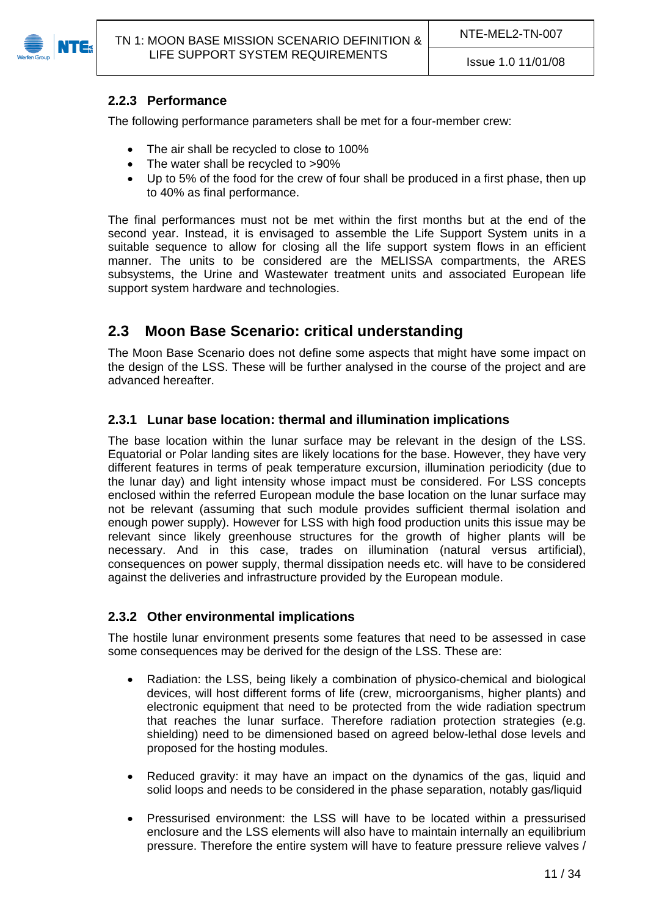<span id="page-10-0"></span>

### **2.2.3 Performance**

The following performance parameters shall be met for a four-member crew:

- The air shall be recycled to close to 100%
- The water shall be recycled to >90%
- Up to 5% of the food for the crew of four shall be produced in a first phase, then up to 40% as final performance.

The final performances must not be met within the first months but at the end of the second year. Instead, it is envisaged to assemble the Life Support System units in a suitable sequence to allow for closing all the life support system flows in an efficient manner. The units to be considered are the MELISSA compartments, the ARES subsystems, the Urine and Wastewater treatment units and associated European life support system hardware and technologies.

# <span id="page-10-1"></span>**2.3 Moon Base Scenario: critical understanding**

The Moon Base Scenario does not define some aspects that might have some impact on the design of the LSS. These will be further analysed in the course of the project and are advanced hereafter.

### <span id="page-10-2"></span>**2.3.1 Lunar base location: thermal and illumination implications**

The base location within the lunar surface may be relevant in the design of the LSS. Equatorial or Polar landing sites are likely locations for the base. However, they have very different features in terms of peak temperature excursion, illumination periodicity (due to the lunar day) and light intensity whose impact must be considered. For LSS concepts enclosed within the referred European module the base location on the lunar surface may not be relevant (assuming that such module provides sufficient thermal isolation and enough power supply). However for LSS with high food production units this issue may be relevant since likely greenhouse structures for the growth of higher plants will be necessary. And in this case, trades on illumination (natural versus artificial), consequences on power supply, thermal dissipation needs etc. will have to be considered against the deliveries and infrastructure provided by the European module.

### <span id="page-10-3"></span>**2.3.2 Other environmental implications**

The hostile lunar environment presents some features that need to be assessed in case some consequences may be derived for the design of the LSS. These are:

- Radiation: the LSS, being likely a combination of physico-chemical and biological devices, will host different forms of life (crew, microorganisms, higher plants) and electronic equipment that need to be protected from the wide radiation spectrum that reaches the lunar surface. Therefore radiation protection strategies (e.g. shielding) need to be dimensioned based on agreed below-lethal dose levels and proposed for the hosting modules.
- Reduced gravity: it may have an impact on the dynamics of the gas, liquid and solid loops and needs to be considered in the phase separation, notably gas/liquid
- Pressurised environment: the LSS will have to be located within a pressurised enclosure and the LSS elements will also have to maintain internally an equilibrium pressure. Therefore the entire system will have to feature pressure relieve valves /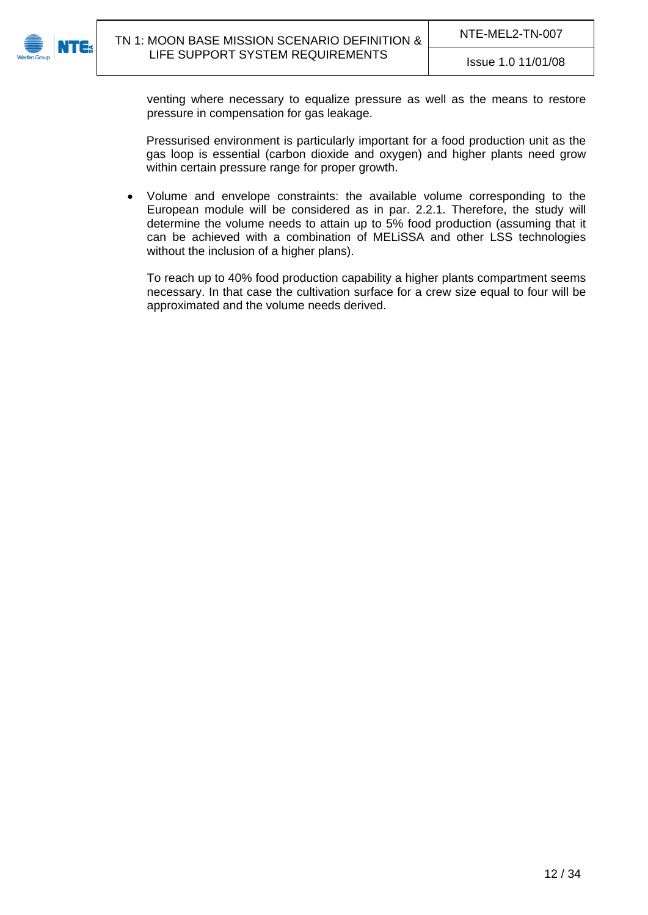

venting where necessary to equalize pressure as well as the means to restore pressure in compensation for gas leakage.

Pressurised environment is particularly important for a food production unit as the gas loop is essential (carbon dioxide and oxygen) and higher plants need grow within certain pressure range for proper growth.

 Volume and envelope constraints: the available volume corresponding to the European module will be considered as in par. [2.2.1.](#page-8-3) Therefore, the study will determine the volume needs to attain up to 5% food production (assuming that it can be achieved with a combination of MELiSSA and other LSS technologies without the inclusion of a higher plans).

To reach up to 40% food production capability a higher plants compartment seems necessary. In that case the cultivation surface for a crew size equal to four will be approximated and the volume needs derived.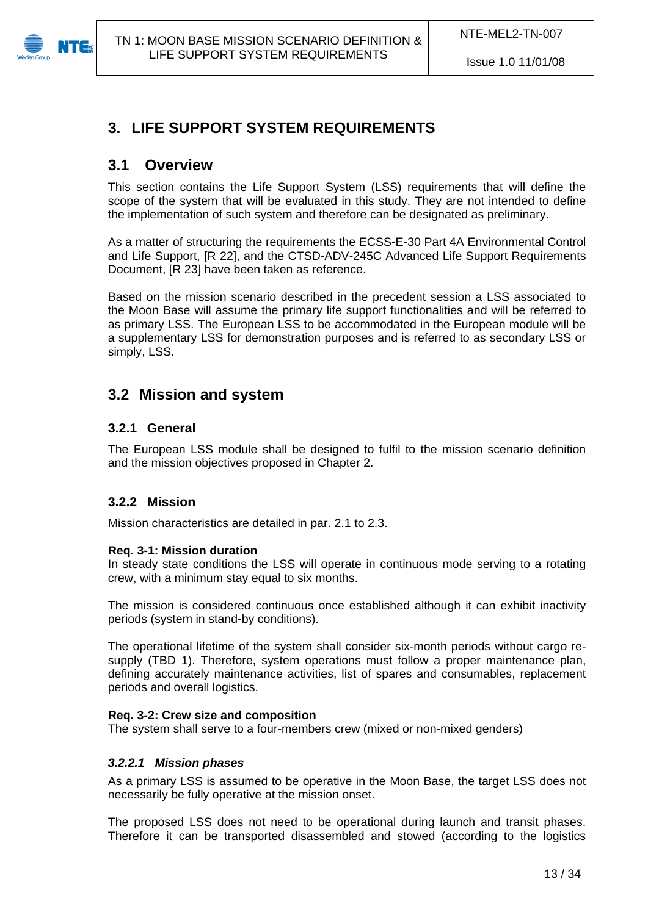<span id="page-12-0"></span>

# **3. LIFE SUPPORT SYSTEM REQUIREMENTS**

### <span id="page-12-1"></span>**3.1 Overview**

This section contains the Life Support System (LSS) requirements that will define the scope of the system that will be evaluated in this study. They are not intended to define the implementation of such system and therefore can be designated as preliminary.

As a matter of structuring the requirements the ECSS-E-30 Part 4A Environmental Control and Life Support, [\[R 22](#page-6-1)], and the CTSD-ADV-245C Advanced Life Support Requirements Document, [\[R 23\]](#page-6-2) have been taken as reference.

Based on the mission scenario described in the precedent session a LSS associated to the Moon Base will assume the primary life support functionalities and will be referred to as primary LSS. The European LSS to be accommodated in the European module will be a supplementary LSS for demonstration purposes and is referred to as secondary LSS or simply, LSS.

# <span id="page-12-2"></span>**3.2 Mission and system**

### <span id="page-12-3"></span>**3.2.1 General**

The European LSS module shall be designed to fulfil to the mission scenario definition and the mission objectives proposed in Chapter 2.

### <span id="page-12-4"></span>**3.2.2 Mission**

Mission characteristics are detailed in par. [2.1](#page-8-1) to [2.3](#page-10-1).

#### **Req. 3-1: Mission duration**

In steady state conditions the LSS will operate in continuous mode serving to a rotating crew, with a minimum stay equal to six months.

The mission is considered continuous once established although it can exhibit inactivity periods (system in stand-by conditions).

The operational lifetime of the system shall consider six-month periods without cargo resupply ([TBD 1\)](#page-33-1). Therefore, system operations must follow a proper maintenance plan, defining accurately maintenance activities, list of spares and consumables, replacement periods and overall logistics.

#### **Req. 3-2: Crew size and composition**

The system shall serve to a four-members crew (mixed or non-mixed genders)

#### <span id="page-12-5"></span>*3.2.2.1 Mission phases*

As a primary LSS is assumed to be operative in the Moon Base, the target LSS does not necessarily be fully operative at the mission onset.

The proposed LSS does not need to be operational during launch and transit phases. Therefore it can be transported disassembled and stowed (according to the logistics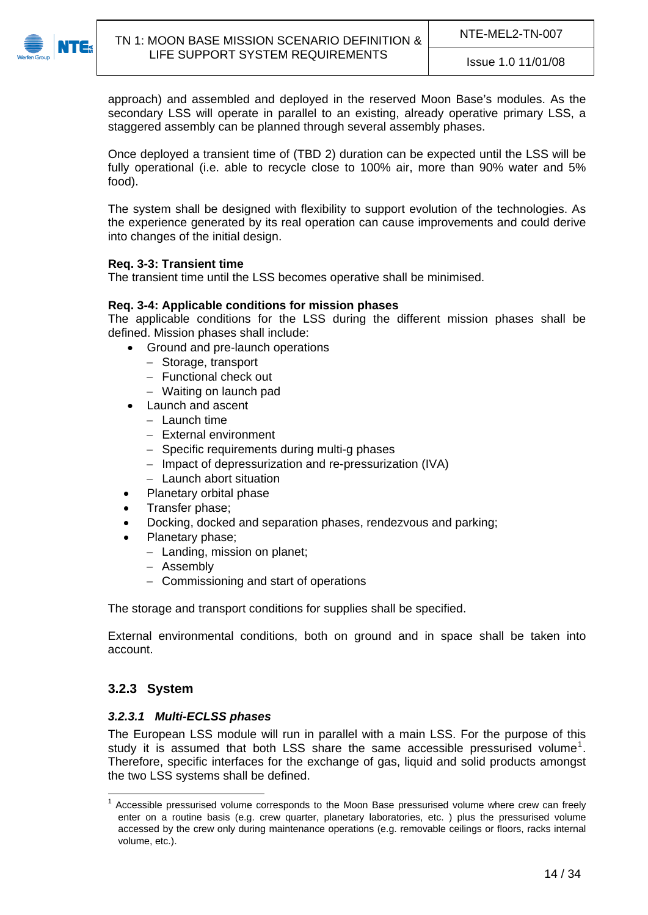

approach) and assembled and deployed in the reserved Moon Base's modules. As the secondary LSS will operate in parallel to an existing, already operative primary LSS, a staggered assembly can be planned through several assembly phases.

Once deployed a transient time of [\(TBD 2\)](#page-33-2) duration can be expected until the LSS will be fully operational (i.e. able to recycle close to 100% air, more than 90% water and 5% food).

The system shall be designed with flexibility to support evolution of the technologies. As the experience generated by its real operation can cause improvements and could derive into changes of the initial design.

#### **Req. 3-3: Transient time**

The transient time until the LSS becomes operative shall be minimised.

#### **Req. 3-4: Applicable conditions for mission phases**

The applicable conditions for the LSS during the different mission phases shall be defined. Mission phases shall include:

- Ground and pre-launch operations
	- Storage, transport
	- Functional check out
	- Waiting on launch pad
- Launch and ascent
	- $-$  Launch time
	- External environment
	- Specific requirements during multi-g phases
	- Impact of depressurization and re-pressurization (IVA)
	- Launch abort situation
- Planetary orbital phase
- Transfer phase;
- Docking, docked and separation phases, rendezvous and parking;
	- Planetary phase;
		- Landing, mission on planet;
		- Assembly
		- Commissioning and start of operations

The storage and transport conditions for supplies shall be specified.

External environmental conditions, both on ground and in space shall be taken into account.

### <span id="page-13-0"></span>**3.2.3 System**

#### <span id="page-13-1"></span>*3.2.3.1 Multi-ECLSS phases*

The European LSS module will run in parallel with a main LSS. For the purpose of this study it is assumed that both LSS share the same accessible pressurised volume<sup>[1](#page-13-2)</sup>. Therefore, specific interfaces for the exchange of gas, liquid and solid products amongst the two LSS systems shall be defined.

<span id="page-13-2"></span><sup>1</sup> Accessible pressurised volume corresponds to the Moon Base pressurised volume where crew can freely enter on a routine basis (e.g. crew quarter, planetary laboratories, etc. ) plus the pressurised volume accessed by the crew only during maintenance operations (e.g. removable ceilings or floors, racks internal volume, etc.).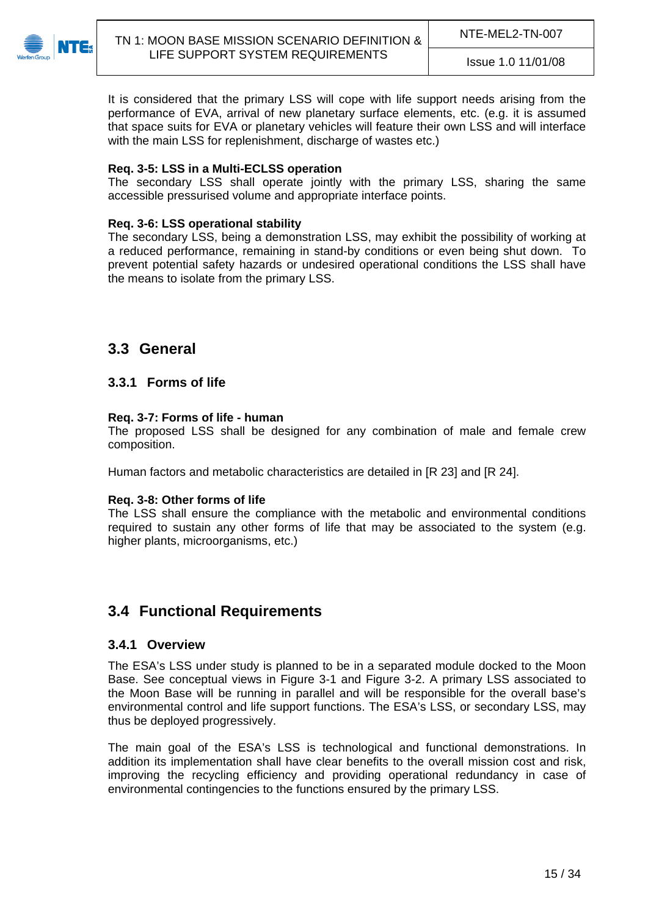

It is considered that the primary LSS will cope with life support needs arising from the performance of EVA, arrival of new planetary surface elements, etc. (e.g. it is assumed that space suits for EVA or planetary vehicles will feature their own LSS and will interface with the main LSS for replenishment, discharge of wastes etc.)

#### **Req. 3-5: LSS in a Multi-ECLSS operation**

The secondary LSS shall operate jointly with the primary LSS, sharing the same accessible pressurised volume and appropriate interface points.

#### **Req. 3-6: LSS operational stability**

The secondary LSS, being a demonstration LSS, may exhibit the possibility of working at a reduced performance, remaining in stand-by conditions or even being shut down. To prevent potential safety hazards or undesired operational conditions the LSS shall have the means to isolate from the primary LSS.

### <span id="page-14-0"></span>**3.3 General**

### <span id="page-14-1"></span>**3.3.1 Forms of life**

#### **Req. 3-7: Forms of life - human**

The proposed LSS shall be designed for any combination of male and female crew composition.

Human factors and metabolic characteristics are detailed in [\[R 23](#page-6-2)] and [\[R 24](#page-6-3)].

#### **Req. 3-8: Other forms of life**

The LSS shall ensure the compliance with the metabolic and environmental conditions required to sustain any other forms of life that may be associated to the system (e.g. higher plants, microorganisms, etc.)

### <span id="page-14-2"></span>**3.4 Functional Requirements**

#### <span id="page-14-3"></span>**3.4.1 Overview**

The ESA's LSS under study is planned to be in a separated module docked to the Moon Base. See conceptual views in [Figure 3-1](#page-15-1) and [Figure 3-2.](#page-15-2) A primary LSS associated to the Moon Base will be running in parallel and will be responsible for the overall base's environmental control and life support functions. The ESA's LSS, or secondary LSS, may thus be deployed progressively.

The main goal of the ESA's LSS is technological and functional demonstrations. In addition its implementation shall have clear benefits to the overall mission cost and risk, improving the recycling efficiency and providing operational redundancy in case of environmental contingencies to the functions ensured by the primary LSS.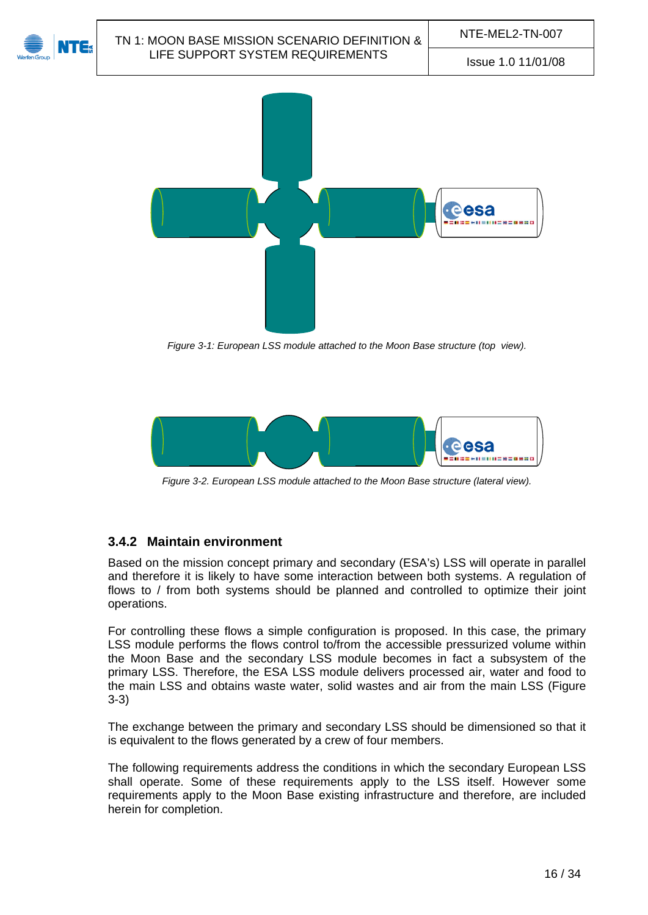

*Figure 3-1: European LSS module attached to the Moon Base structure (top view).* 

<span id="page-15-1"></span>

*Figure 3-2. European LSS module attached to the Moon Base structure (lateral view).* 

# <span id="page-15-2"></span><span id="page-15-0"></span>**3.4.2 Maintain environment**

Based on the mission concept primary and secondary (ESA's) LSS will operate in parallel and therefore it is likely to have some interaction between both systems. A regulation of flows to / from both systems should be planned and controlled to optimize their joint operations.

For controlling these flows a simple configuration is proposed. In this case, the primary LSS module performs the flows control to/from the accessible pressurized volume within the Moon Base and the secondary LSS module becomes in fact a subsystem of the primary LSS. Therefore, the ESA LSS module delivers processed air, water and food to the main LSS and obtains waste water, solid wastes and air from the main LSS [\(Figure](#page-16-0)  [3-3](#page-16-0))

The exchange between the primary and secondary LSS should be dimensioned so that it is equivalent to the flows generated by a crew of four members.

The following requirements address the conditions in which the secondary European LSS shall operate. Some of these requirements apply to the LSS itself. However some requirements apply to the Moon Base existing infrastructure and therefore, are included herein for completion.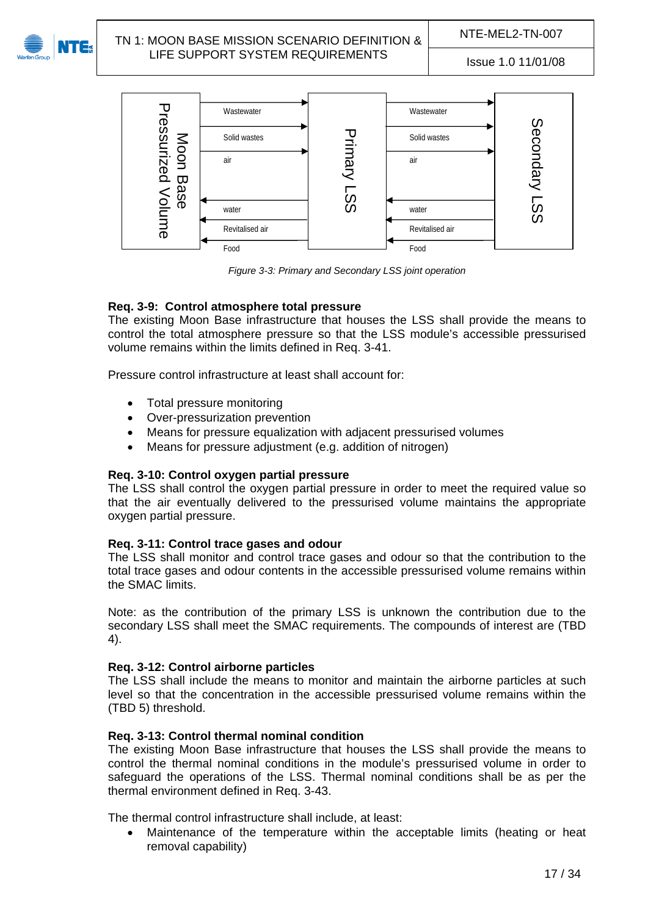

# NTE-MEL2-TN-007<br>NTE-MEL2-TN-007 TN-1: MOON BASE MISSION SCENARIO DEFINITION & NTE-MEL2-TN-007 LIFE SUPPORT SYSTEM REQUIREMENTS ISSUE 1.0 11/01/08



*Figure 3-3: Primary and Secondary LSS joint operation*

### <span id="page-16-0"></span>**Req. 3-9: Control atmosphere total pressure**

The existing Moon Base infrastructure that houses the LSS shall provide the means to control the total atmosphere pressure so that the LSS module's accessible pressurised volume remains within the limits defined in [Req. 3-41.](#page-24-3)

Pressure control infrastructure at least shall account for:

- Total pressure monitoring
- Over-pressurization prevention
- Means for pressure equalization with adjacent pressurised volumes
- Means for pressure adjustment (e.g. addition of nitrogen)

#### **Req. 3-10: Control oxygen partial pressure**

The LSS shall control the oxygen partial pressure in order to meet the required value so that the air eventually delivered to the pressurised volume maintains the appropriate oxygen partial pressure.

#### **Req. 3-11: Control trace gases and odour**

The LSS shall monitor and control trace gases and odour so that the contribution to the total trace gases and odour contents in the accessible pressurised volume remains within the SMAC limits.

Note: as the contribution of the primary LSS is unknown the contribution due to the secondary LSS shall meet the SMAC requirements. The compounds of interest are ([TBD](#page-33-3)  [4](#page-33-3)).

#### **Req. 3-12: Control airborne particles**

The LSS shall include the means to monitor and maintain the airborne particles at such level so that the concentration in the accessible pressurised volume remains within the ([TBD 5](#page-33-4)) threshold.

#### **Req. 3-13: Control thermal nominal condition**

The existing Moon Base infrastructure that houses the LSS shall provide the means to control the thermal nominal conditions in the module's pressurised volume in order to safeguard the operations of the LSS. Thermal nominal conditions shall be as per the thermal environment defined in [Req. 3-43.](#page-24-4)

The thermal control infrastructure shall include, at least:

 Maintenance of the temperature within the acceptable limits (heating or heat removal capability)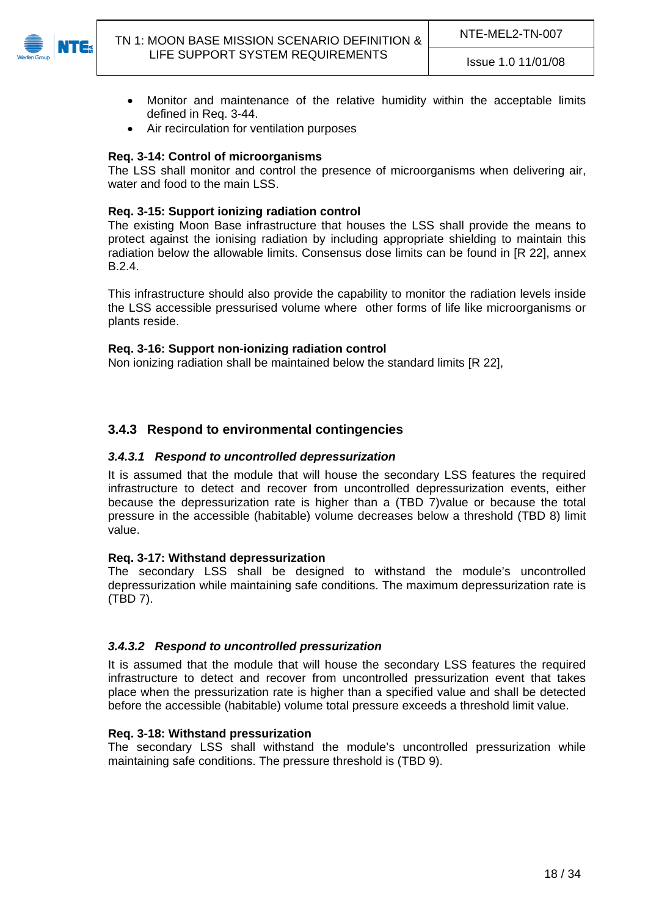

- Monitor and maintenance of the relative humidity within the acceptable limits defined in [Req. 3-44](#page-24-5).
- Air recirculation for ventilation purposes

#### **Req. 3-14: Control of microorganisms**

The LSS shall monitor and control the presence of microorganisms when delivering air, water and food to the main LSS.

#### **Req. 3-15: Support ionizing radiation control**

The existing Moon Base infrastructure that houses the LSS shall provide the means to protect against the ionising radiation by including appropriate shielding to maintain this radiation below the allowable limits. Consensus dose limits can be found in [\[R 22](#page-6-1)], annex B.2.4.

This infrastructure should also provide the capability to monitor the radiation levels inside the LSS accessible pressurised volume where other forms of life like microorganisms or plants reside.

#### **Req. 3-16: Support non-ionizing radiation control**

Non ionizing radiation shall be maintained below the standard limits [\[R 22\]](#page-6-1),

### <span id="page-17-0"></span>**3.4.3 Respond to environmental contingencies**

#### <span id="page-17-1"></span>*3.4.3.1 Respond to uncontrolled depressurization*

It is assumed that the module that will house the secondary LSS features the required infrastructure to detect and recover from uncontrolled depressurization events, either because the depressurization rate is higher than a [\(TBD 7](#page-33-5))value or because the total pressure in the accessible (habitable) volume decreases below a threshold [\(TBD 8](#page-33-6)) limit value.

#### **Req. 3-17: Withstand depressurization**

The secondary LSS shall be designed to withstand the module's uncontrolled depressurization while maintaining safe conditions. The maximum depressurization rate is ([TBD 7](#page-33-5)).

#### <span id="page-17-2"></span>*3.4.3.2 Respond to uncontrolled pressurization*

It is assumed that the module that will house the secondary LSS features the required infrastructure to detect and recover from uncontrolled pressurization event that takes place when the pressurization rate is higher than a specified value and shall be detected before the accessible (habitable) volume total pressure exceeds a threshold limit value.

#### **Req. 3-18: Withstand pressurization**

The secondary LSS shall withstand the module's uncontrolled pressurization while maintaining safe conditions. The pressure threshold is [\(TBD 9](#page-33-7)).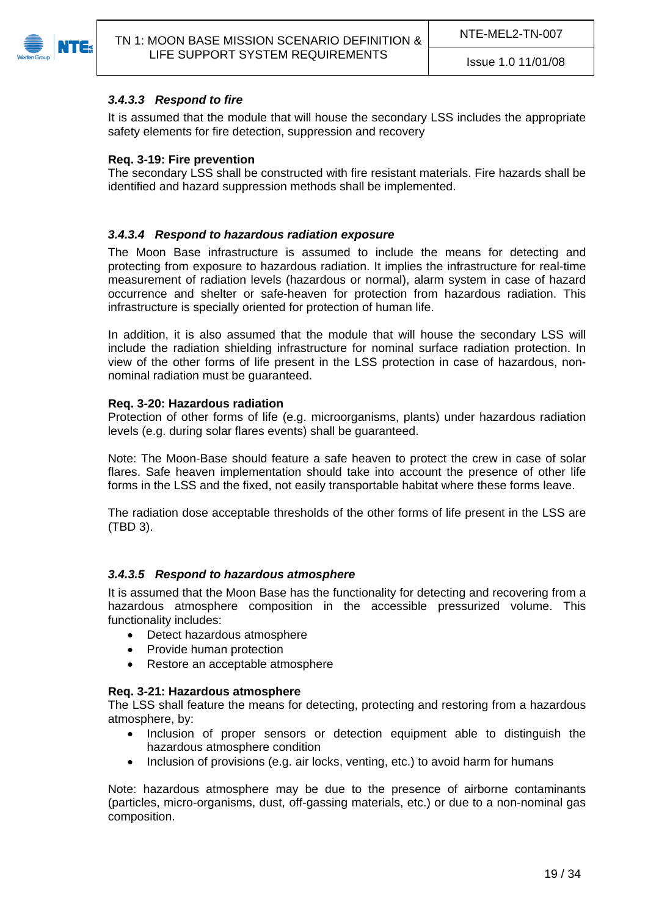<span id="page-18-0"></span>

### *3.4.3.3 Respond to fire*

It is assumed that the module that will house the secondary LSS includes the appropriate safety elements for fire detection, suppression and recovery

### **Req. 3-19: Fire prevention**

The secondary LSS shall be constructed with fire resistant materials. Fire hazards shall be identified and hazard suppression methods shall be implemented.

### <span id="page-18-1"></span>*3.4.3.4 Respond to hazardous radiation exposure*

The Moon Base infrastructure is assumed to include the means for detecting and protecting from exposure to hazardous radiation. It implies the infrastructure for real-time measurement of radiation levels (hazardous or normal), alarm system in case of hazard occurrence and shelter or safe-heaven for protection from hazardous radiation. This infrastructure is specially oriented for protection of human life.

In addition, it is also assumed that the module that will house the secondary LSS will include the radiation shielding infrastructure for nominal surface radiation protection. In view of the other forms of life present in the LSS protection in case of hazardous, nonnominal radiation must be guaranteed.

#### <span id="page-18-3"></span>**Req. 3-20: Hazardous radiation**

Protection of other forms of life (e.g. microorganisms, plants) under hazardous radiation levels (e.g. during solar flares events) shall be guaranteed.

Note: The Moon-Base should feature a safe heaven to protect the crew in case of solar flares. Safe heaven implementation should take into account the presence of other life forms in the LSS and the fixed, not easily transportable habitat where these forms leave.

The radiation dose acceptable thresholds of the other forms of life present in the LSS are ([TBD 3](#page-33-8)).

#### <span id="page-18-2"></span>*3.4.3.5 Respond to hazardous atmosphere*

It is assumed that the Moon Base has the functionality for detecting and recovering from a hazardous atmosphere composition in the accessible pressurized volume. This functionality includes:

- Detect hazardous atmosphere
- Provide human protection
- Restore an acceptable atmosphere

#### **Req. 3-21: Hazardous atmosphere**

The LSS shall feature the means for detecting, protecting and restoring from a hazardous atmosphere, by:

- Inclusion of proper sensors or detection equipment able to distinguish the hazardous atmosphere condition
- Inclusion of provisions (e.g. air locks, venting, etc.) to avoid harm for humans

Note: hazardous atmosphere may be due to the presence of airborne contaminants (particles, micro-organisms, dust, off-gassing materials, etc.) or due to a non-nominal gas composition.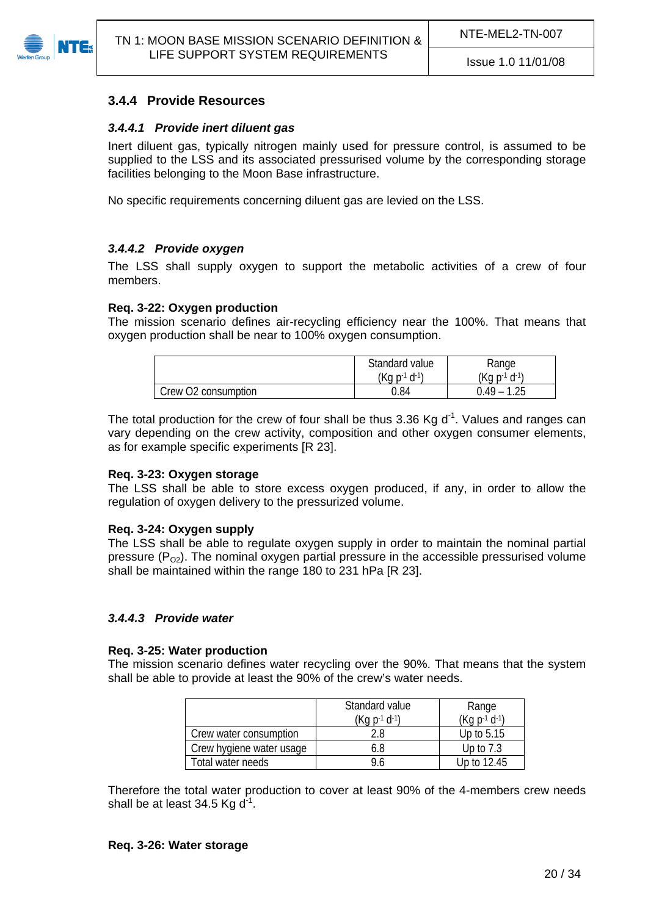<span id="page-19-1"></span><span id="page-19-0"></span>

### **3.4.4 Provide Resources**

#### *3.4.4.1 Provide inert diluent gas*

Inert diluent gas, typically nitrogen mainly used for pressure control, is assumed to be supplied to the LSS and its associated pressurised volume by the corresponding storage facilities belonging to the Moon Base infrastructure.

No specific requirements concerning diluent gas are levied on the LSS.

#### <span id="page-19-2"></span>*3.4.4.2 Provide oxygen*

The LSS shall supply oxygen to support the metabolic activities of a crew of four members.

#### **Req. 3-22: Oxygen production**

The mission scenario defines air-recycling efficiency near the 100%. That means that oxygen production shall be near to 100% oxygen consumption.

|                     | Standard value<br>$(Kq p^{-1} d^{-1})$ | Range<br>$(Kq p^{-1} d^{-1})$ |
|---------------------|----------------------------------------|-------------------------------|
| Crew O2 consumption | 0.84                                   | 1.25<br>$0.49 -$              |

The total production for the crew of four shall be thus 3.36 Kg  $d<sup>-1</sup>$ . Values and ranges can vary depending on the crew activity, composition and other oxygen consumer elements, as for example specific experiments [\[R 23](#page-6-2)].

#### **Req. 3-23: Oxygen storage**

The LSS shall be able to store excess oxygen produced, if any, in order to allow the regulation of oxygen delivery to the pressurized volume.

#### **Req. 3-24: Oxygen supply**

The LSS shall be able to regulate oxygen supply in order to maintain the nominal partial pressure  $(P<sub>O2</sub>)$ . The nominal oxygen partial pressure in the accessible pressurised volume shall be maintained within the range 180 to 231 hPa [\[R 23\]](#page-6-2).

#### <span id="page-19-3"></span>*3.4.4.3 Provide water*

#### **Req. 3-25: Water production**

The mission scenario defines water recycling over the 90%. That means that the system shall be able to provide at least the 90% of the crew's water needs.

|                          | Standard value       | Range                |
|--------------------------|----------------------|----------------------|
|                          | $(Kq p^{-1} d^{-1})$ | $(Kq p^{-1} d^{-1})$ |
| Crew water consumption   | 2.8                  | Up to 5.15           |
| Crew hygiene water usage | 6.8                  | Up to $7.3$          |
| Total water needs        | 9 h                  | Up to 12.45          |

Therefore the total water production to cover at least 90% of the 4-members crew needs shall be at least 34.5 Kg  $d^{-1}$ .

#### **Req. 3-26: Water storage**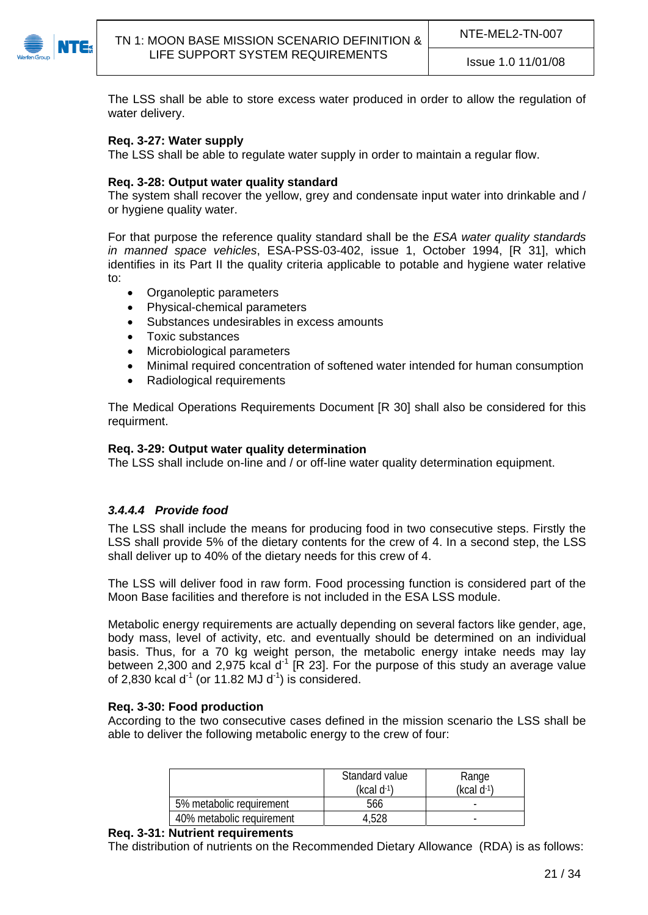

The LSS shall be able to store excess water produced in order to allow the regulation of water delivery.

#### **Req. 3-27: Water supply**

The LSS shall be able to regulate water supply in order to maintain a regular flow.

#### **Req. 3-28: Output water quality standard**

The system shall recover the yellow, grey and condensate input water into drinkable and / or hygiene quality water.

For that purpose the reference quality standard shall be the *ESA water quality standards in manned space vehicles*, ESA-PSS-03-402, issue 1, October 1994, [R 31], which identifies in its Part II the quality criteria applicable to potable and hygiene water relative to:

- Organoleptic parameters
- Physical-chemical parameters
- Substances undesirables in excess amounts
- Toxic substances
- Microbiological parameters
- Minimal required concentration of softened water intended for human consumption
- Radiological requirements

The Medical Operations Requirements Document [\[R 30](#page-7-2)] shall also be considered for this requirment.

#### **Req. 3-29: Output water quality determination**

The LSS shall include on-line and / or off-line water quality determination equipment.

#### <span id="page-20-0"></span>*3.4.4.4 Provide food*

The LSS shall include the means for producing food in two consecutive steps. Firstly the LSS shall provide 5% of the dietary contents for the crew of 4. In a second step, the LSS shall deliver up to 40% of the dietary needs for this crew of 4.

The LSS will deliver food in raw form. Food processing function is considered part of the Moon Base facilities and therefore is not included in the ESA LSS module.

Metabolic energy requirements are actually depending on several factors like gender, age, body mass, level of activity, etc. and eventually should be determined on an individual basis. Thus, for a 70 kg weight person, the metabolic energy intake needs may lay between 2,300 and 2,975 kcal  $d^1$  [\[R 23](#page-6-2)]. For the purpose of this study an average value of 2,830 kcal d<sup>-1</sup> (or 11.82 MJ d<sup>-1</sup>) is considered.

#### <span id="page-20-1"></span>**Req. 3-30: Food production**

According to the two consecutive cases defined in the mission scenario the LSS shall be able to deliver the following metabolic energy to the crew of four:

|                           | Standard value<br>$(kcal d^{-1})$ | Range<br>$(kcal d^{-1})$ |
|---------------------------|-----------------------------------|--------------------------|
| 5% metabolic requirement  | 566                               | -                        |
| 40% metabolic requirement | 4.528                             |                          |

#### **Req. 3-31: Nutrient requirements**

The distribution of nutrients on the Recommended Dietary Allowance (RDA) is as follows: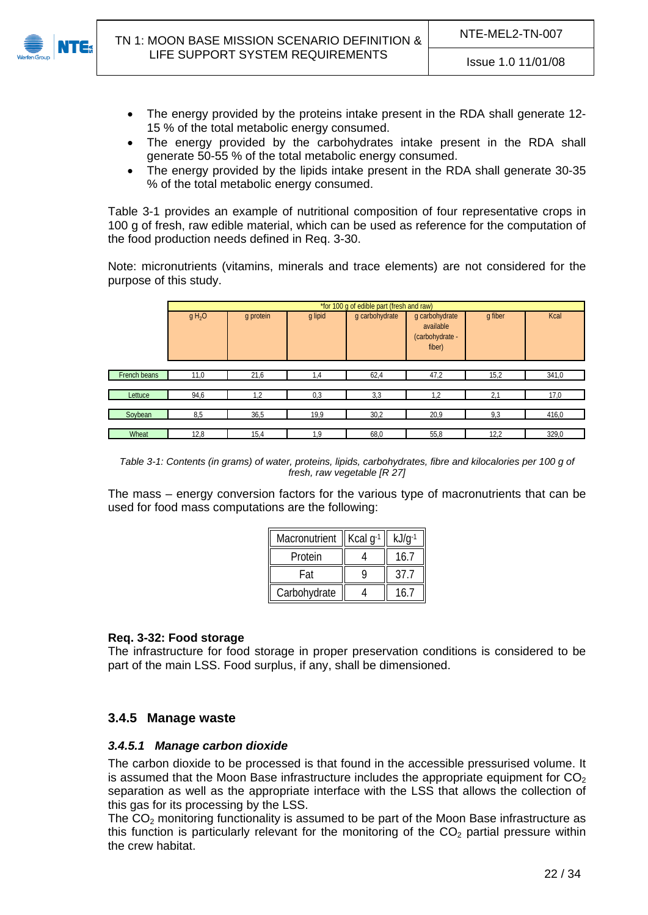

- The energy provided by the proteins intake present in the RDA shall generate 12- 15 % of the total metabolic energy consumed.
- The energy provided by the carbohydrates intake present in the RDA shall generate 50-55 % of the total metabolic energy consumed.
- The energy provided by the lipids intake present in the RDA shall generate 30-35 % of the total metabolic energy consumed.

[Table 3-1](#page-21-2) provides an example of nutritional composition of four representative crops in 100 g of fresh, raw edible material, which can be used as reference for the computation of the food production needs defined in [Req. 3-30.](#page-20-1)

Note: micronutrients (vitamins, minerals and trace elements) are not considered for the purpose of this study.

|              | *for 100 g of edible part (fresh and raw) |           |         |                |                                                          |         |       |
|--------------|-------------------------------------------|-----------|---------|----------------|----------------------------------------------------------|---------|-------|
|              | g H <sub>2</sub> O                        | g protein | g lipid | g carbohydrate | g carbohydrate<br>available<br>(carbohydrate -<br>fiber) | q fiber | Kcal  |
|              |                                           |           |         |                |                                                          |         |       |
| French beans | 11,0                                      | 21,6      | 1,4     | 62,4           | 47,2                                                     | 15,2    | 341,0 |
|              |                                           |           |         |                |                                                          |         |       |
| Lettuce      | 94,6                                      | 1,2       | 0,3     | 3,3            | 1,2                                                      | 2,1     | 17,0  |
|              |                                           |           |         |                |                                                          |         |       |
| Soybean      | 8,5                                       | 36,5      | 19,9    | 30,2           | 20,9                                                     | 9,3     | 416,0 |
|              |                                           |           |         |                |                                                          |         |       |
| Wheat        | 12,8                                      | 15,4      | 1,9     | 68,0           | 55,8                                                     | 12,2    | 329,0 |

*Table 3-1: Contents (in grams) of water, proteins, lipids, carbohydrates, fibre and kilocalories per 100 g of fresh, raw vegetable [\[R 27](#page-7-3)]* 

<span id="page-21-2"></span>The mass – energy conversion factors for the various type of macronutrients that can be used for food mass computations are the following:

| Macronutrient | Kcal $q^{-1}$ | $kJ/q^{-1}$ |
|---------------|---------------|-------------|
| Protein       |               | 16.7        |
| Fat           |               | 37          |
| Carbohydrate  |               |             |

#### **Req. 3-32: Food storage**

The infrastructure for food storage in proper preservation conditions is considered to be part of the main LSS. Food surplus, if any, shall be dimensioned.

### <span id="page-21-0"></span>**3.4.5 Manage waste**

#### <span id="page-21-1"></span>*3.4.5.1 Manage carbon dioxide*

The carbon dioxide to be processed is that found in the accessible pressurised volume. It is assumed that the Moon Base infrastructure includes the appropriate equipment for  $CO<sub>2</sub>$ separation as well as the appropriate interface with the LSS that allows the collection of this gas for its processing by the LSS.

The  $CO<sub>2</sub>$  monitoring functionality is assumed to be part of the Moon Base infrastructure as this function is particularly relevant for the monitoring of the  $CO<sub>2</sub>$  partial pressure within the crew habitat.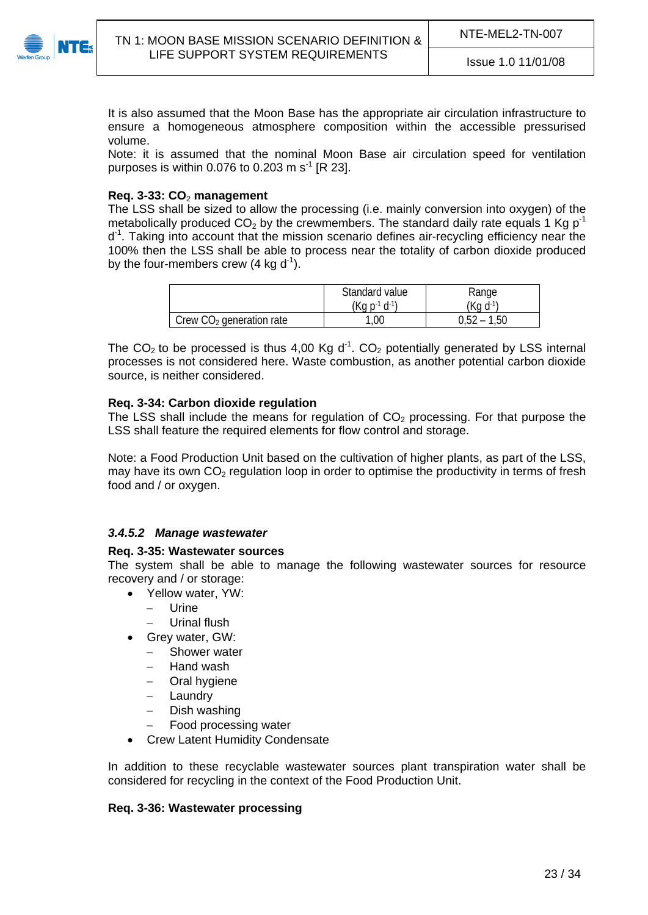

It is also assumed that the Moon Base has the appropriate air circulation infrastructure to ensure a homogeneous atmosphere composition within the accessible pressurised volume.

Note: it is assumed that the nominal Moon Base air circulation speed for ventilation purposes is within 0.076 to 0.203 m  $s<sup>-1</sup>$  [\[R 23\]](#page-6-2).

#### **Req. 3-33: CO**2 **management**

The LSS shall be sized to allow the processing (i.e. mainly conversion into oxygen) of the metabolically produced  $CO<sub>2</sub>$  by the crewmembers. The standard daily rate equals 1 Kg p<sup>-1</sup>  $d<sup>-1</sup>$ . Taking into account that the mission scenario defines air-recycling efficiency near the 100% then the LSS shall be able to process near the totality of carbon dioxide produced by the four-members crew  $(4 \text{ kg d}^{-1})$ .

|                            | Standard value       | Range                 |
|----------------------------|----------------------|-----------------------|
|                            | $(Kq p^{-1} d^{-1})$ | (Kg d <sup>.</sup> 1) |
| Crew $CO2$ generation rate | $1,00^{-}$           | ა,52 –<br>$-1,50$     |

The  $CO<sub>2</sub>$  to be processed is thus 4,00 Kg d<sup>-1</sup>.  $CO<sub>2</sub>$  potentially generated by LSS internal processes is not considered here. Waste combustion, as another potential carbon dioxide source, is neither considered.

#### **Req. 3-34: Carbon dioxide regulation**

The LSS shall include the means for regulation of  $CO<sub>2</sub>$  processing. For that purpose the LSS shall feature the required elements for flow control and storage.

Note: a Food Production Unit based on the cultivation of higher plants, as part of the LSS, may have its own  $CO<sub>2</sub>$  regulation loop in order to optimise the productivity in terms of fresh food and / or oxygen.

#### <span id="page-22-0"></span>*3.4.5.2 Manage wastewater*

#### **Req. 3-35: Wastewater sources**

The system shall be able to manage the following wastewater sources for resource recovery and / or storage:

- Yellow water, YW:
	- Urine
	- Urinal flush
- Grey water, GW:
	- Shower water
	- Hand wash
	- Oral hygiene
	- Laundry
	- $-$  Dish washing
	- Food processing water
- Crew Latent Humidity Condensate

In addition to these recyclable wastewater sources plant transpiration water shall be considered for recycling in the context of the Food Production Unit.

#### **Req. 3-36: Wastewater processing**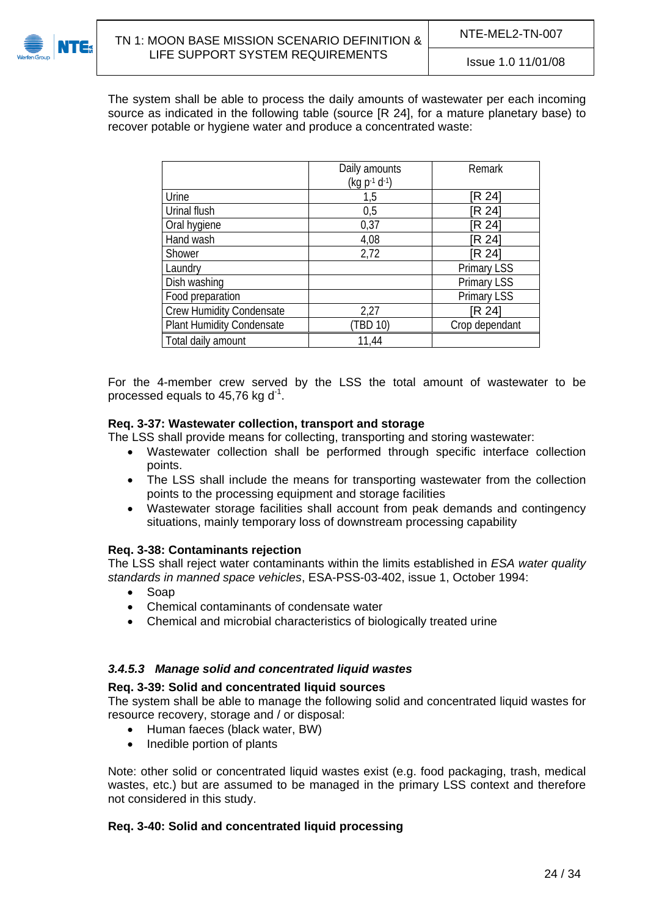

The system shall be able to process the daily amounts of wastewater per each incoming source as indicated in the following table (source [\[R 24\]](#page-6-3), for a mature planetary base) to recover potable or hygiene water and produce a concentrated waste:

|                                  | Daily amounts<br>$(kq p^{-1} d^{-1})$ | Remark             |
|----------------------------------|---------------------------------------|--------------------|
| Urine                            | 1,5                                   | [R 24]             |
| Urinal flush                     | 0.5                                   | [R 24]             |
| Oral hygiene                     | 0,37                                  | [R 24]             |
| Hand wash                        | 4,08                                  | [R 24]             |
| Shower                           | 2,72                                  | [R 24]             |
| Laundry                          |                                       | <b>Primary LSS</b> |
| Dish washing                     |                                       | <b>Primary LSS</b> |
| Food preparation                 |                                       | Primary LSS        |
| <b>Crew Humidity Condensate</b>  | 2,27                                  | [R 24]             |
| <b>Plant Humidity Condensate</b> | (TBD 10)                              | Crop dependant     |
| Total daily amount               | 11,44                                 |                    |

For the 4-member crew served by the LSS the total amount of wastewater to be processed equals to  $45.76$  kg d<sup>-1</sup>.

#### **Req. 3-37: Wastewater collection, transport and storage**

The LSS shall provide means for collecting, transporting and storing wastewater:

- Wastewater collection shall be performed through specific interface collection points.
- The LSS shall include the means for transporting wastewater from the collection points to the processing equipment and storage facilities
- Wastewater storage facilities shall account from peak demands and contingency situations, mainly temporary loss of downstream processing capability

#### **Req. 3-38: Contaminants rejection**

The LSS shall reject water contaminants within the limits established in *ESA water quality standards in manned space vehicles*, ESA-PSS-03-402, issue 1, October 1994:

- Soap
- Chemical contaminants of condensate water
- Chemical and microbial characteristics of biologically treated urine

#### <span id="page-23-0"></span>*3.4.5.3 Manage solid and concentrated liquid wastes*

#### **Req. 3-39: Solid and concentrated liquid sources**

The system shall be able to manage the following solid and concentrated liquid wastes for resource recovery, storage and / or disposal:

- Human faeces (black water, BW)
- Inedible portion of plants

Note: other solid or concentrated liquid wastes exist (e.g. food packaging, trash, medical wastes, etc.) but are assumed to be managed in the primary LSS context and therefore not considered in this study.

#### **Req. 3-40: Solid and concentrated liquid processing**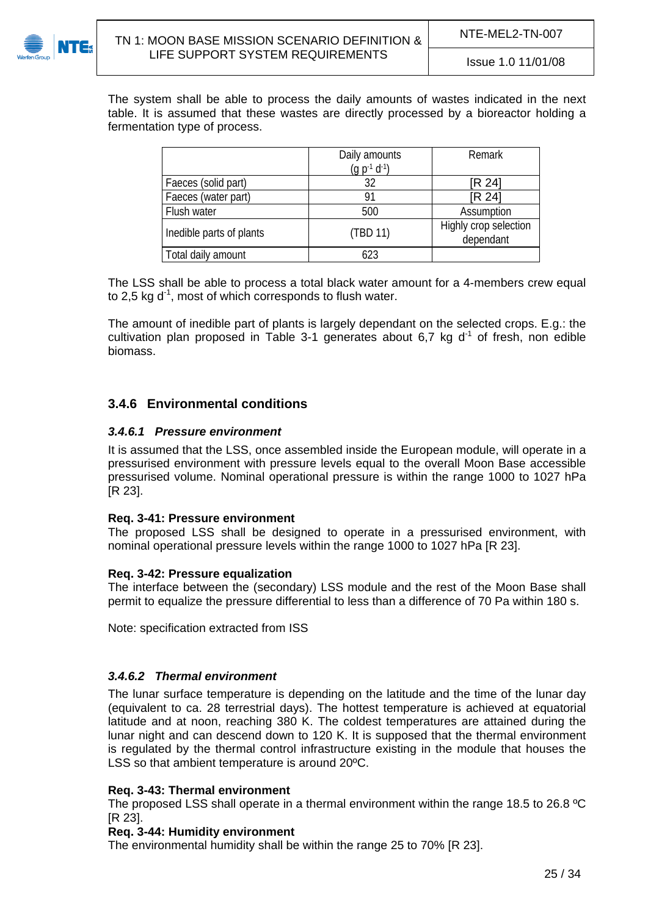

The system shall be able to process the daily amounts of wastes indicated in the next table. It is assumed that these wastes are directly processed by a bioreactor holding a fermentation type of process.

|                          | Daily amounts<br>$(q p^{-1} d^{-1})$ | Remark                             |
|--------------------------|--------------------------------------|------------------------------------|
| Faeces (solid part)      | 32                                   | [R 24]                             |
| Faeces (water part)      | 91                                   | [R 24]                             |
| Flush water              | 500                                  | Assumption                         |
| Inedible parts of plants | (TBD 11)                             | Highly crop selection<br>dependant |
| Total daily amount       | 623                                  |                                    |

The LSS shall be able to process a total black water amount for a 4-members crew equal to 2,5 kg  $d^1$ , most of which corresponds to flush water.

The amount of inedible part of plants is largely dependant on the selected crops. E.g.: the cultivation plan proposed in [Table 3-1](#page-21-2) generates about 6,7 kg  $d<sup>-1</sup>$  of fresh, non edible biomass.

### <span id="page-24-0"></span>**3.4.6 Environmental conditions**

### <span id="page-24-1"></span>*3.4.6.1 Pressure environment*

It is assumed that the LSS, once assembled inside the European module, will operate in a pressurised environment with pressure levels equal to the overall Moon Base accessible pressurised volume. Nominal operational pressure is within the range 1000 to 1027 hPa [\[R 23\]](#page-6-2).

#### <span id="page-24-3"></span>**Req. 3-41: Pressure environment**

The proposed LSS shall be designed to operate in a pressurised environment, with nominal operational pressure levels within the range 1000 to 1027 hPa [\[R 23](#page-6-2)].

#### **Req. 3-42: Pressure equalization**

The interface between the (secondary) LSS module and the rest of the Moon Base shall permit to equalize the pressure differential to less than a difference of 70 Pa within 180 s.

Note: specification extracted from ISS

#### <span id="page-24-2"></span>*3.4.6.2 Thermal environment*

The lunar surface temperature is depending on the latitude and the time of the lunar day (equivalent to ca. 28 terrestrial days). The hottest temperature is achieved at equatorial latitude and at noon, reaching 380 K. The coldest temperatures are attained during the lunar night and can descend down to 120 K. It is supposed that the thermal environment is regulated by the thermal control infrastructure existing in the module that houses the LSS so that ambient temperature is around 20ºC.

#### <span id="page-24-4"></span>**Req. 3-43: Thermal environment**

The proposed LSS shall operate in a thermal environment within the range 18.5 to 26.8 ºC [\[R 23\]](#page-6-2).

#### <span id="page-24-5"></span>**Req. 3-44: Humidity environment**

The environmental humidity shall be within the range 25 to 70% [\[R 23](#page-6-2)].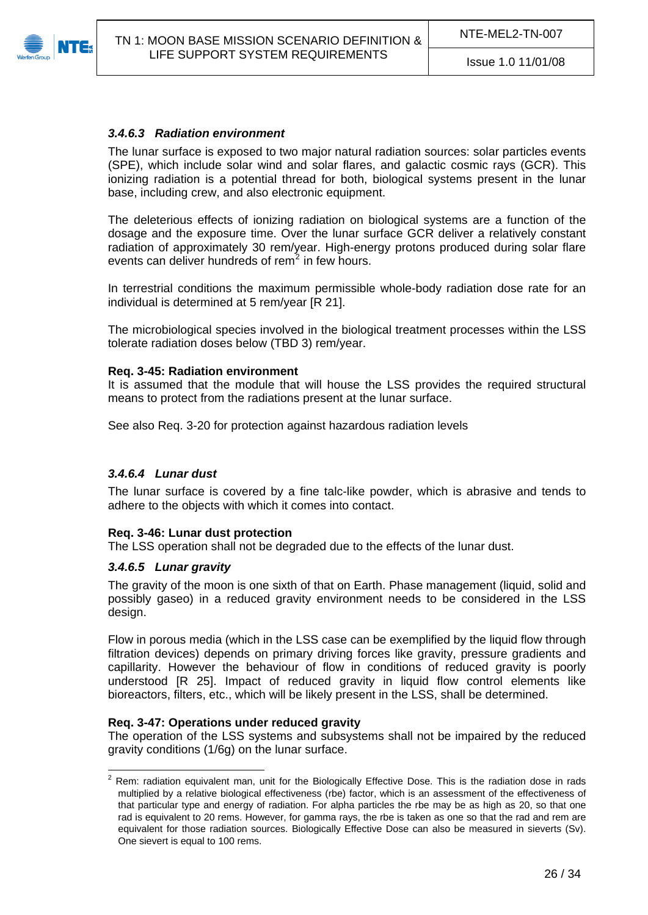<span id="page-25-0"></span>

#### *3.4.6.3 Radiation environment*

The lunar surface is exposed to two major natural radiation sources: solar particles events (SPE), which include solar wind and solar flares, and galactic cosmic rays (GCR). This ionizing radiation is a potential thread for both, biological systems present in the lunar base, including crew, and also electronic equipment.

The deleterious effects of ionizing radiation on biological systems are a function of the dosage and the exposure time. Over the lunar surface GCR deliver a relatively constant radiation of approximately 30 rem/year. High-energy protons produced during solar flare events can deliver hundreds of rem $^2$  $^2$  in few hours.

In terrestrial conditions the maximum permissible whole-body radiation dose rate for an individual is determined at 5 rem/year [\[R 21](#page-6-4)].

The microbiological species involved in the biological treatment processes within the LSS tolerate radiation doses below [\(TBD 3](#page-33-8)) rem/year.

#### **Req. 3-45: Radiation environment**

It is assumed that the module that will house the LSS provides the required structural means to protect from the radiations present at the lunar surface.

See also [Req. 3-20](#page-18-3) for protection against hazardous radiation levels

#### <span id="page-25-1"></span>*3.4.6.4 Lunar dust*

The lunar surface is covered by a fine talc-like powder, which is abrasive and tends to adhere to the objects with which it comes into contact.

#### **Req. 3-46: Lunar dust protection**

The LSS operation shall not be degraded due to the effects of the lunar dust.

#### <span id="page-25-2"></span>*3.4.6.5 Lunar gravity*

The gravity of the moon is one sixth of that on Earth. Phase management (liquid, solid and possibly gaseo) in a reduced gravity environment needs to be considered in the LSS design.

Flow in porous media (which in the LSS case can be exemplified by the liquid flow through filtration devices) depends on primary driving forces like gravity, pressure gradients and capillarity. However the behaviour of flow in conditions of reduced gravity is poorly understood [\[R 25](#page-7-4)]. Impact of reduced gravity in liquid flow control elements like bioreactors, filters, etc., which will be likely present in the LSS, shall be determined.

#### **Req. 3-47: Operations under reduced gravity**

The operation of the LSS systems and subsystems shall not be impaired by the reduced gravity conditions (1/6g) on the lunar surface.

<span id="page-25-3"></span> $\frac{1}{2}$  Rem: radiation equivalent man, unit for the Biologically Effective Dose. This is the radiation dose in rads multiplied by a relative biological effectiveness (rbe) factor, which is an assessment of the effectiveness of that particular type and energy of radiation. For alpha particles the rbe may be as high as 20, so that one rad is equivalent to 20 rems. However, for gamma rays, the rbe is taken as one so that the rad and rem are equivalent for those radiation sources. Biologically Effective Dose can also be measured in sieverts (Sv). One sievert is equal to 100 rems.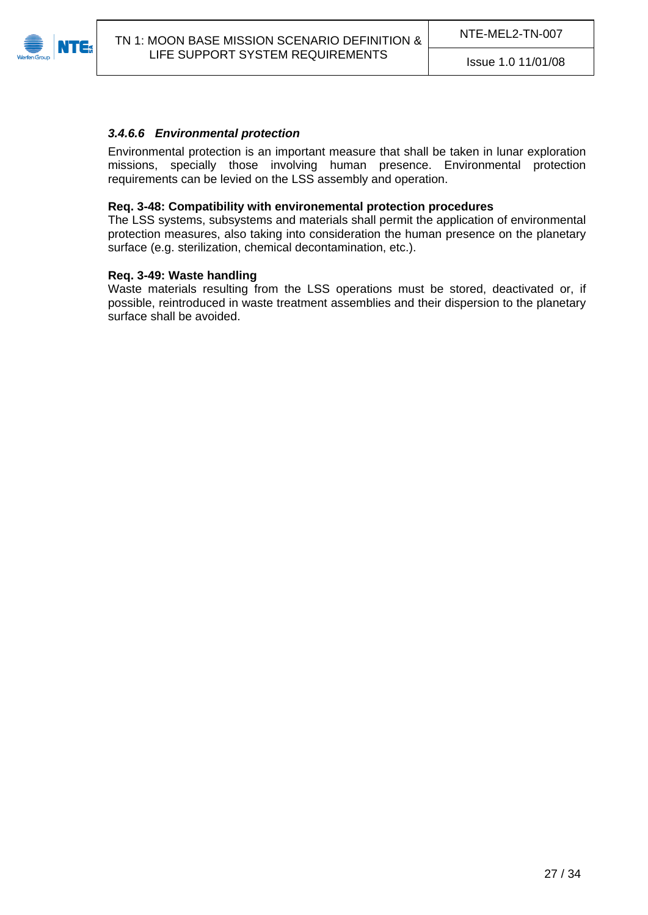<span id="page-26-0"></span>

#### *3.4.6.6 Environmental protection*

Environmental protection is an important measure that shall be taken in lunar exploration missions, specially those involving human presence. Environmental protection requirements can be levied on the LSS assembly and operation.

#### **Req. 3-48: Compatibility with environemental protection procedures**

The LSS systems, subsystems and materials shall permit the application of environmental protection measures, also taking into consideration the human presence on the planetary surface (e.g. sterilization, chemical decontamination, etc.).

#### **Req. 3-49: Waste handling**

Waste materials resulting from the LSS operations must be stored, deactivated or, if possible, reintroduced in waste treatment assemblies and their dispersion to the planetary surface shall be avoided.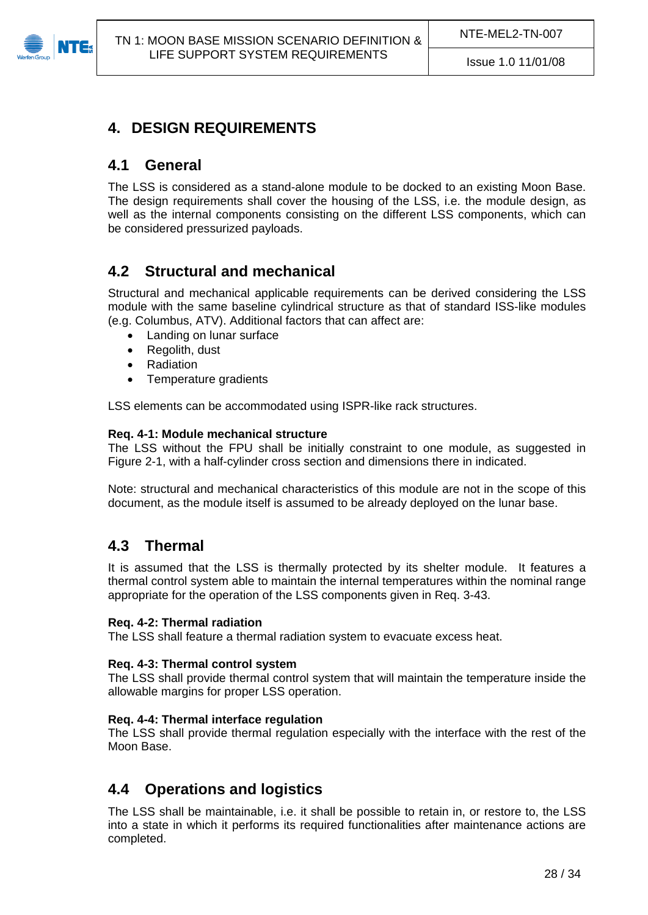<span id="page-27-0"></span>

# **4. DESIGN REQUIREMENTS**

### <span id="page-27-1"></span>**4.1 General**

The LSS is considered as a stand-alone module to be docked to an existing Moon Base. The design requirements shall cover the housing of the LSS, i.e. the module design, as well as the internal components consisting on the different LSS components, which can be considered pressurized payloads.

# <span id="page-27-2"></span>**4.2 Structural and mechanical**

Structural and mechanical applicable requirements can be derived considering the LSS module with the same baseline cylindrical structure as that of standard ISS-like modules (e.g. Columbus, ATV). Additional factors that can affect are:

- Landing on lunar surface
- Regolith, dust
- Radiation
- Temperature gradients

LSS elements can be accommodated using ISPR-like rack structures.

#### **Req. 4-1: Module mechanical structure**

The LSS without the FPU shall be initially constraint to one module, as suggested in [Figure 2-1](#page-9-1), with a half-cylinder cross section and dimensions there in indicated.

Note: structural and mechanical characteristics of this module are not in the scope of this document, as the module itself is assumed to be already deployed on the lunar base.

### <span id="page-27-3"></span>**4.3 Thermal**

It is assumed that the LSS is thermally protected by its shelter module. It features a thermal control system able to maintain the internal temperatures within the nominal range appropriate for the operation of the LSS components given in [Req. 3-43.](#page-24-4)

#### **Req. 4-2: Thermal radiation**

The LSS shall feature a thermal radiation system to evacuate excess heat.

#### **Req. 4-3: Thermal control system**

The LSS shall provide thermal control system that will maintain the temperature inside the allowable margins for proper LSS operation.

#### **Req. 4-4: Thermal interface regulation**

The LSS shall provide thermal regulation especially with the interface with the rest of the Moon Base.

### <span id="page-27-4"></span>**4.4 Operations and logistics**

The LSS shall be maintainable, i.e. it shall be possible to retain in, or restore to, the LSS into a state in which it performs its required functionalities after maintenance actions are completed.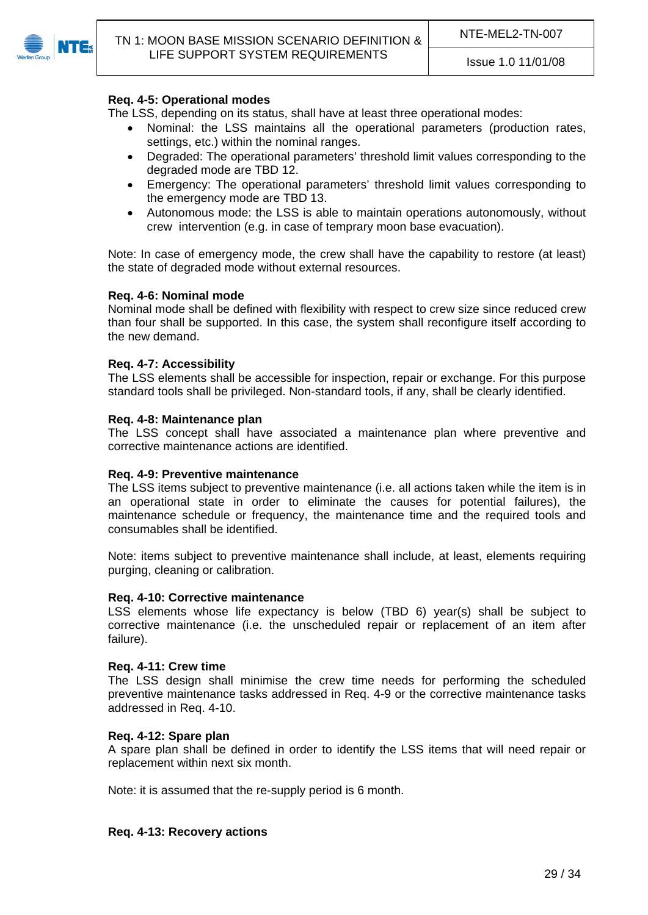

#### **Req. 4-5: Operational modes**

The LSS, depending on its status, shall have at least three operational modes:

- Nominal: the LSS maintains all the operational parameters (production rates, settings, etc.) within the nominal ranges.
- Degraded: The operational parameters' threshold limit values corresponding to the degraded mode are [TBD 12](#page-33-11).
- Emergency: The operational parameters' threshold limit values corresponding to the emergency mode are [TBD 13.](#page-33-12)
- Autonomous mode: the LSS is able to maintain operations autonomously, without crew intervention (e.g. in case of temprary moon base evacuation).

Note: In case of emergency mode, the crew shall have the capability to restore (at least) the state of degraded mode without external resources.

#### **Req. 4-6: Nominal mode**

Nominal mode shall be defined with flexibility with respect to crew size since reduced crew than four shall be supported. In this case, the system shall reconfigure itself according to the new demand.

#### **Req. 4-7: Accessibility**

The LSS elements shall be accessible for inspection, repair or exchange. For this purpose standard tools shall be privileged. Non-standard tools, if any, shall be clearly identified.

#### **Req. 4-8: Maintenance plan**

The LSS concept shall have associated a maintenance plan where preventive and corrective maintenance actions are identified.

#### <span id="page-28-0"></span>**Req. 4-9: Preventive maintenance**

The LSS items subject to preventive maintenance (i.e. all actions taken while the item is in an operational state in order to eliminate the causes for potential failures), the maintenance schedule or frequency, the maintenance time and the required tools and consumables shall be identified.

Note: items subject to preventive maintenance shall include, at least, elements requiring purging, cleaning or calibration.

#### <span id="page-28-1"></span>**Req. 4-10: Corrective maintenance**

LSS elements whose life expectancy is below ([TBD 6](#page-33-13)) year(s) shall be subject to corrective maintenance (i.e. the unscheduled repair or replacement of an item after failure).

#### **Req. 4-11: Crew time**

The LSS design shall minimise the crew time needs for performing the scheduled preventive maintenance tasks addressed in [Req. 4-9](#page-28-0) or the corrective maintenance tasks addressed in [Req. 4-10.](#page-28-1)

#### **Req. 4-12: Spare plan**

A spare plan shall be defined in order to identify the LSS items that will need repair or replacement within next six month.

Note: it is assumed that the re-supply period is 6 month.

#### **Req. 4-13: Recovery actions**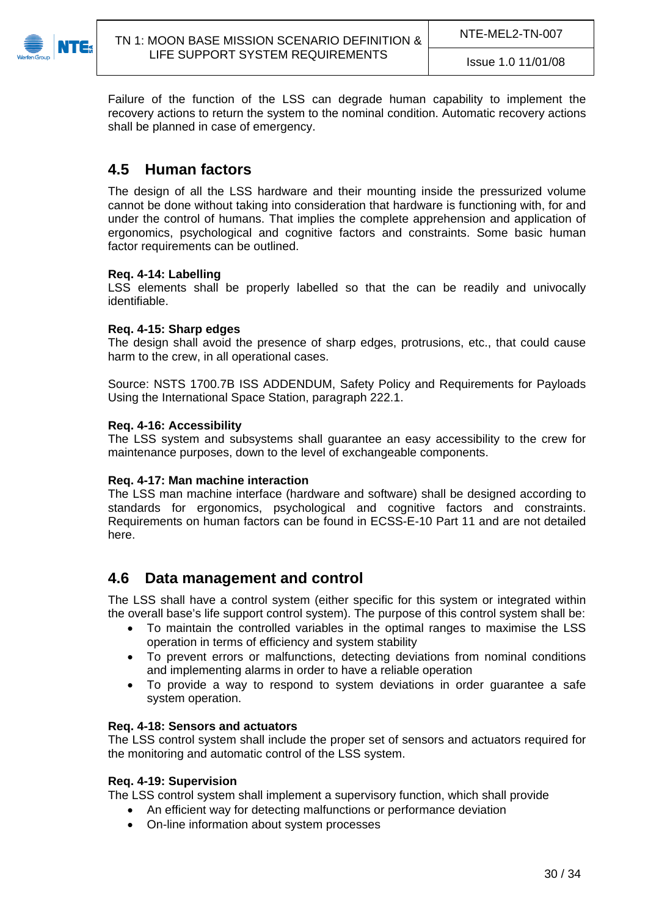

Failure of the function of the LSS can degrade human capability to implement the recovery actions to return the system to the nominal condition. Automatic recovery actions shall be planned in case of emergency.

# <span id="page-29-0"></span>**4.5 Human factors**

The design of all the LSS hardware and their mounting inside the pressurized volume cannot be done without taking into consideration that hardware is functioning with, for and under the control of humans. That implies the complete apprehension and application of ergonomics, psychological and cognitive factors and constraints. Some basic human factor requirements can be outlined.

#### **Req. 4-14: Labelling**

LSS elements shall be properly labelled so that the can be readily and univocally identifiable.

#### **Req. 4-15: Sharp edges**

The design shall avoid the presence of sharp edges, protrusions, etc., that could cause harm to the crew, in all operational cases.

Source: NSTS 1700.7B ISS ADDENDUM, Safety Policy and Requirements for Payloads Using the International Space Station, paragraph 222.1.

#### **Req. 4-16: Accessibility**

The LSS system and subsystems shall guarantee an easy accessibility to the crew for maintenance purposes, down to the level of exchangeable components.

#### **Req. 4-17: Man machine interaction**

The LSS man machine interface (hardware and software) shall be designed according to standards for ergonomics, psychological and cognitive factors and constraints. Requirements on human factors can be found in ECSS-E-10 Part 11 and are not detailed here.

### <span id="page-29-1"></span>**4.6 Data management and control**

The LSS shall have a control system (either specific for this system or integrated within the overall base's life support control system). The purpose of this control system shall be:

- To maintain the controlled variables in the optimal ranges to maximise the LSS operation in terms of efficiency and system stability
- To prevent errors or malfunctions, detecting deviations from nominal conditions and implementing alarms in order to have a reliable operation
- To provide a way to respond to system deviations in order guarantee a safe system operation.

#### **Req. 4-18: Sensors and actuators**

The LSS control system shall include the proper set of sensors and actuators required for the monitoring and automatic control of the LSS system.

#### **Req. 4-19: Supervision**

The LSS control system shall implement a supervisory function, which shall provide

- An efficient way for detecting malfunctions or performance deviation
- On-line information about system processes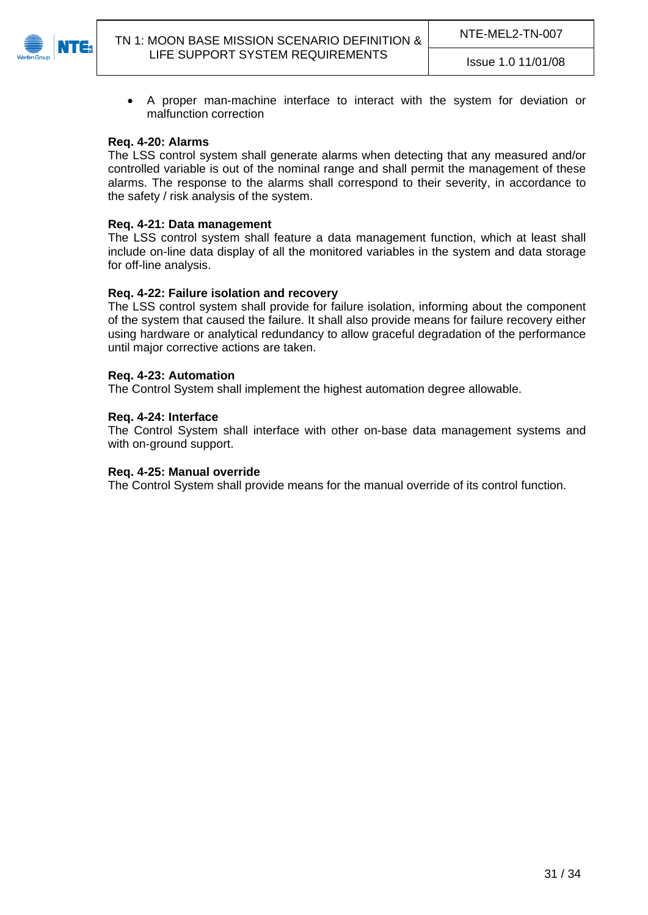

 A proper man-machine interface to interact with the system for deviation or malfunction correction

#### **Req. 4-20: Alarms**

The LSS control system shall generate alarms when detecting that any measured and/or controlled variable is out of the nominal range and shall permit the management of these alarms. The response to the alarms shall correspond to their severity, in accordance to the safety / risk analysis of the system.

#### **Req. 4-21: Data management**

The LSS control system shall feature a data management function, which at least shall include on-line data display of all the monitored variables in the system and data storage for off-line analysis.

#### **Req. 4-22: Failure isolation and recovery**

The LSS control system shall provide for failure isolation, informing about the component of the system that caused the failure. It shall also provide means for failure recovery either using hardware or analytical redundancy to allow graceful degradation of the performance until major corrective actions are taken.

#### **Req. 4-23: Automation**

The Control System shall implement the highest automation degree allowable.

#### **Req. 4-24: Interface**

The Control System shall interface with other on-base data management systems and with on-ground support.

#### **Req. 4-25: Manual override**

The Control System shall provide means for the manual override of its control function.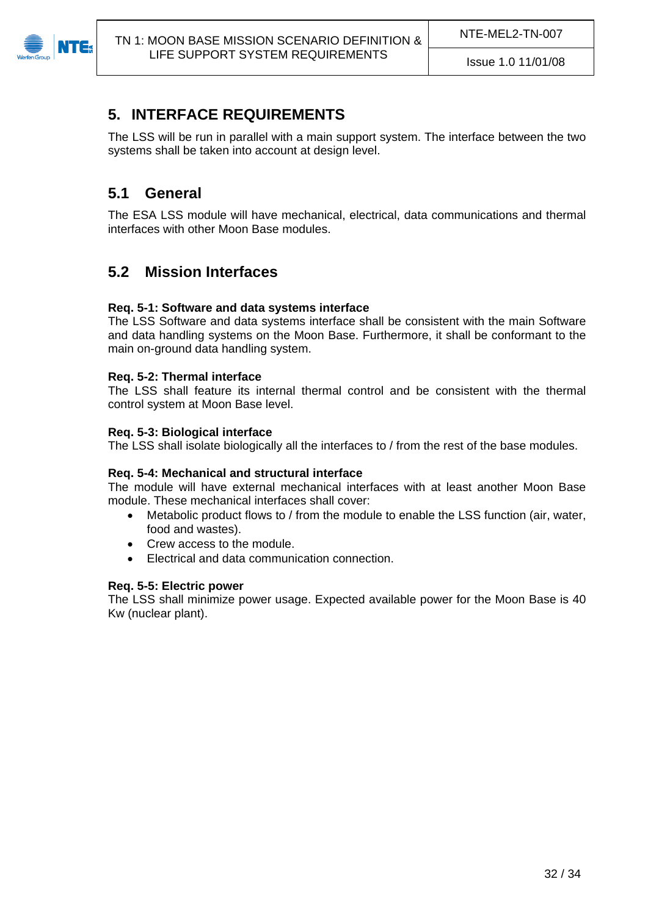<span id="page-31-0"></span>

# **5. INTERFACE REQUIREMENTS**

The LSS will be run in parallel with a main support system. The interface between the two systems shall be taken into account at design level.

# <span id="page-31-1"></span>**5.1 General**

The ESA LSS module will have mechanical, electrical, data communications and thermal interfaces with other Moon Base modules.

# <span id="page-31-2"></span>**5.2 Mission Interfaces**

### **Req. 5-1: Software and data systems interface**

The LSS Software and data systems interface shall be consistent with the main Software and data handling systems on the Moon Base. Furthermore, it shall be conformant to the main on-ground data handling system.

#### **Req. 5-2: Thermal interface**

The LSS shall feature its internal thermal control and be consistent with the thermal control system at Moon Base level.

#### **Req. 5-3: Biological interface**

The LSS shall isolate biologically all the interfaces to / from the rest of the base modules.

#### **Req. 5-4: Mechanical and structural interface**

The module will have external mechanical interfaces with at least another Moon Base module. These mechanical interfaces shall cover:

- Metabolic product flows to / from the module to enable the LSS function (air, water, food and wastes).
- Crew access to the module.
- Electrical and data communication connection.

#### **Req. 5-5: Electric power**

The LSS shall minimize power usage. Expected available power for the Moon Base is 40 Kw (nuclear plant).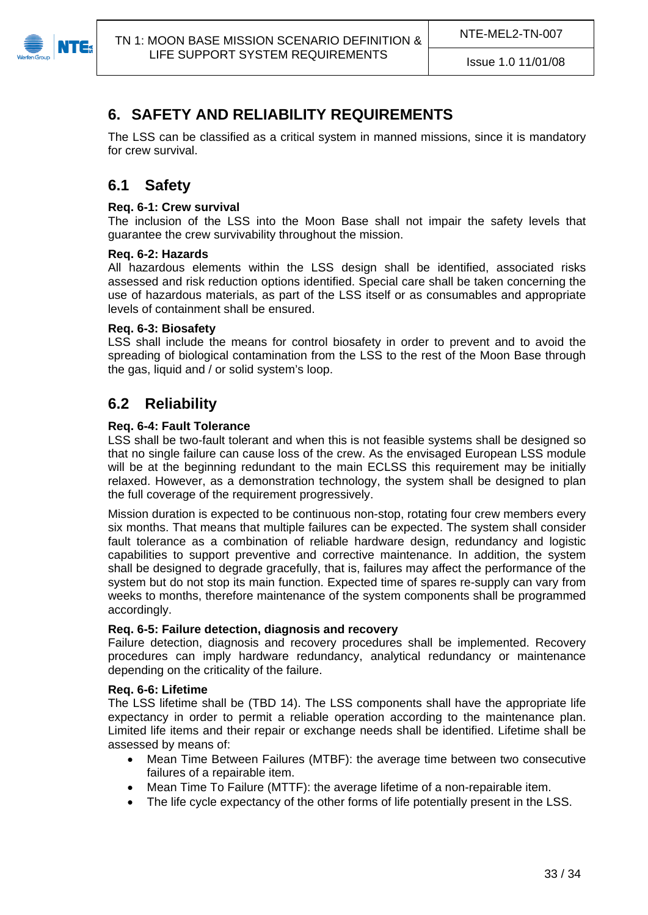<span id="page-32-0"></span>

# **6. SAFETY AND RELIABILITY REQUIREMENTS**

The LSS can be classified as a critical system in manned missions, since it is mandatory for crew survival.

# <span id="page-32-1"></span>**6.1 Safety**

### **Req. 6-1: Crew survival**

The inclusion of the LSS into the Moon Base shall not impair the safety levels that guarantee the crew survivability throughout the mission.

#### **Req. 6-2: Hazards**

All hazardous elements within the LSS design shall be identified, associated risks assessed and risk reduction options identified. Special care shall be taken concerning the use of hazardous materials, as part of the LSS itself or as consumables and appropriate levels of containment shall be ensured.

#### **Req. 6-3: Biosafety**

LSS shall include the means for control biosafety in order to prevent and to avoid the spreading of biological contamination from the LSS to the rest of the Moon Base through the gas, liquid and / or solid system's loop.

# <span id="page-32-2"></span>**6.2 Reliability**

#### **Req. 6-4: Fault Tolerance**

LSS shall be two-fault tolerant and when this is not feasible systems shall be designed so that no single failure can cause loss of the crew. As the envisaged European LSS module will be at the beginning redundant to the main ECLSS this requirement may be initially relaxed. However, as a demonstration technology, the system shall be designed to plan the full coverage of the requirement progressively.

Mission duration is expected to be continuous non-stop, rotating four crew members every six months. That means that multiple failures can be expected. The system shall consider fault tolerance as a combination of reliable hardware design, redundancy and logistic capabilities to support preventive and corrective maintenance. In addition, the system shall be designed to degrade gracefully, that is, failures may affect the performance of the system but do not stop its main function. Expected time of spares re-supply can vary from weeks to months, therefore maintenance of the system components shall be programmed accordingly.

#### **Req. 6-5: Failure detection, diagnosis and recovery**

Failure detection, diagnosis and recovery procedures shall be implemented. Recovery procedures can imply hardware redundancy, analytical redundancy or maintenance depending on the criticality of the failure.

### **Req. 6-6: Lifetime**

The LSS lifetime shall be ([TBD 14\)](#page-33-14). The LSS components shall have the appropriate life expectancy in order to permit a reliable operation according to the maintenance plan. Limited life items and their repair or exchange needs shall be identified. Lifetime shall be assessed by means of:

- Mean Time Between Failures (MTBF): the average time between two consecutive failures of a repairable item.
- Mean Time To Failure (MTTF): the average lifetime of a non-repairable item.
- The life cycle expectancy of the other forms of life potentially present in the LSS.